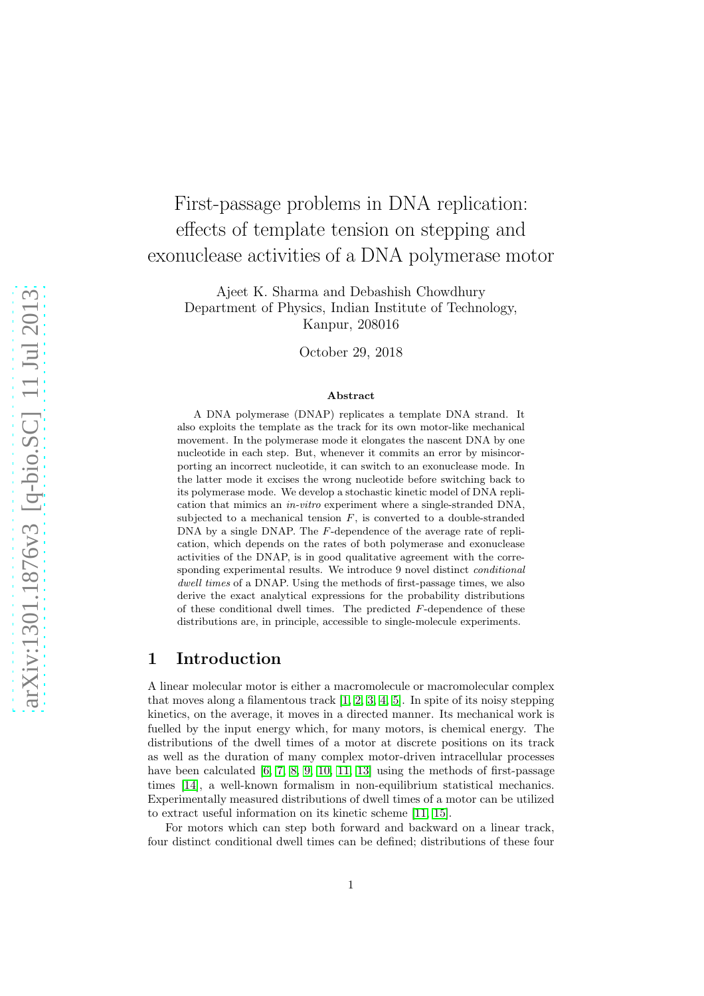# First-passage problems in DNA replication: effects of template tension on stepping and exonuclease activities of a DNA polymerase motor

Ajeet K. Sharma and Debashish Chowdhury Department of Physics, Indian Institute of Technology, Kanpur, 208016

October 29, 2018

#### Abstract

A DNA polymerase (DNAP) replicates a template DNA strand. It also exploits the template as the track for its own motor-like mechanical movement. In the polymerase mode it elongates the nascent DNA by one nucleotide in each step. But, whenever it commits an error by misincorporting an incorrect nucleotide, it can switch to an exonuclease mode. In the latter mode it excises the wrong nucleotide before switching back to its polymerase mode. We develop a stochastic kinetic model of DNA replication that mimics an in-vitro experiment where a single-stranded DNA, subjected to a mechanical tension  $F$ , is converted to a double-stranded DNA by a single DNAP. The F-dependence of the average rate of replication, which depends on the rates of both polymerase and exonuclease activities of the DNAP, is in good qualitative agreement with the corresponding experimental results. We introduce 9 novel distinct conditional dwell times of a DNAP. Using the methods of first-passage times, we also derive the exact analytical expressions for the probability distributions of these conditional dwell times. The predicted  $F$ -dependence of these distributions are, in principle, accessible to single-molecule experiments.

### <span id="page-0-0"></span>1 Introduction

A linear molecular motor is either a macromolecule or macromolecular complex that moves along a filamentous track [\[1,](#page-22-0) [2,](#page-22-1) [3,](#page-22-2) [4,](#page-22-3) [5\]](#page-22-4). In spite of its noisy stepping kinetics, on the average, it moves in a directed manner. Its mechanical work is fuelled by the input energy which, for many motors, is chemical energy. The distributions of the dwell times of a motor at discrete positions on its track as well as the duration of many complex motor-driven intracellular processes have been calculated [\[6,](#page-22-5) [7,](#page-22-6) [8,](#page-22-7) [9,](#page-22-8) [10,](#page-22-9) [11,](#page-22-10) [13\]](#page-22-11) using the methods of first-passage times [\[14\]](#page-22-12), a well-known formalism in non-equilibrium statistical mechanics. Experimentally measured distributions of dwell times of a motor can be utilized to extract useful information on its kinetic scheme [\[11,](#page-22-10) [15\]](#page-23-0).

For motors which can step both forward and backward on a linear track, four distinct conditional dwell times can be defined; distributions of these four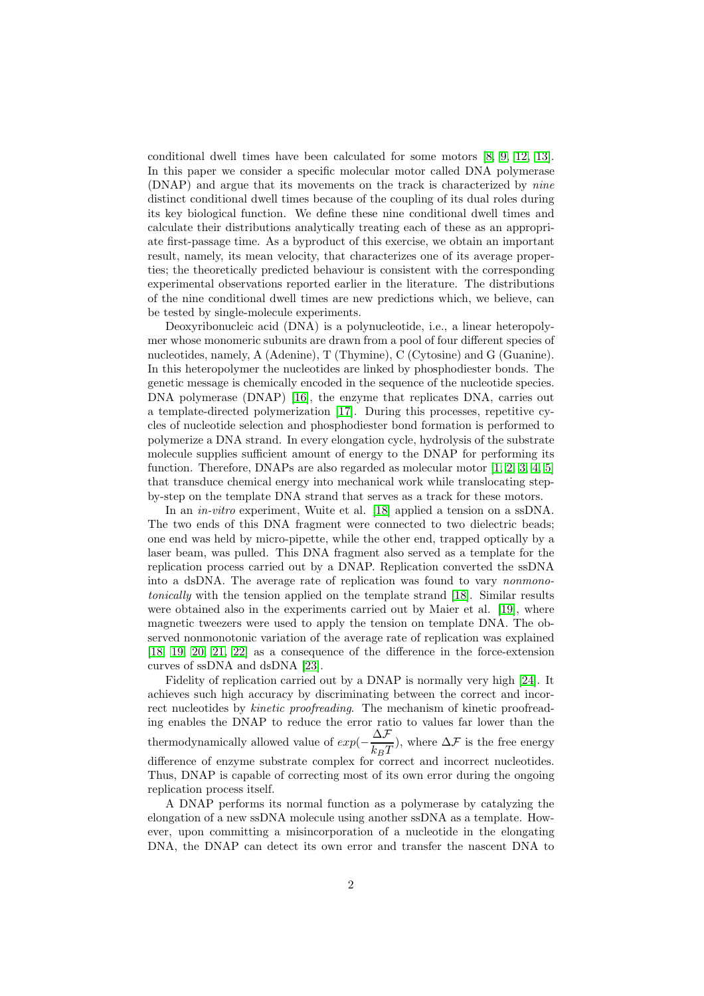conditional dwell times have been calculated for some motors [\[8,](#page-22-7) [9,](#page-22-8) [12,](#page-22-13) [13\]](#page-22-11). In this paper we consider a specific molecular motor called DNA polymerase (DNAP) and argue that its movements on the track is characterized by nine distinct conditional dwell times because of the coupling of its dual roles during its key biological function. We define these nine conditional dwell times and calculate their distributions analytically treating each of these as an appropriate first-passage time. As a byproduct of this exercise, we obtain an important result, namely, its mean velocity, that characterizes one of its average properties; the theoretically predicted behaviour is consistent with the corresponding experimental observations reported earlier in the literature. The distributions of the nine conditional dwell times are new predictions which, we believe, can be tested by single-molecule experiments.

Deoxyribonucleic acid (DNA) is a polynucleotide, i.e., a linear heteropolymer whose monomeric subunits are drawn from a pool of four different species of nucleotides, namely, A (Adenine), T (Thymine), C (Cytosine) and G (Guanine). In this heteropolymer the nucleotides are linked by phosphodiester bonds. The genetic message is chemically encoded in the sequence of the nucleotide species. DNA polymerase (DNAP) [\[16\]](#page-23-1), the enzyme that replicates DNA, carries out a template-directed polymerization [\[17\]](#page-23-2). During this processes, repetitive cycles of nucleotide selection and phosphodiester bond formation is performed to polymerize a DNA strand. In every elongation cycle, hydrolysis of the substrate molecule supplies sufficient amount of energy to the DNAP for performing its function. Therefore, DNAPs are also regarded as molecular motor [\[1,](#page-22-0) [2,](#page-22-1) [3,](#page-22-2) [4,](#page-22-3) [5\]](#page-22-4) that transduce chemical energy into mechanical work while translocating stepby-step on the template DNA strand that serves as a track for these motors.

In an in-vitro experiment, Wuite et al. [\[18\]](#page-23-3) applied a tension on a ssDNA. The two ends of this DNA fragment were connected to two dielectric beads; one end was held by micro-pipette, while the other end, trapped optically by a laser beam, was pulled. This DNA fragment also served as a template for the replication process carried out by a DNAP. Replication converted the ssDNA into a dsDNA. The average rate of replication was found to vary nonmonotonically with the tension applied on the template strand [\[18\]](#page-23-3). Similar results were obtained also in the experiments carried out by Maier et al. [\[19\]](#page-23-4), where magnetic tweezers were used to apply the tension on template DNA. The observed nonmonotonic variation of the average rate of replication was explained [\[18,](#page-23-3) [19,](#page-23-4) [20,](#page-23-5) [21,](#page-23-6) [22\]](#page-23-7) as a consequence of the difference in the force-extension curves of ssDNA and dsDNA [\[23\]](#page-23-8).

Fidelity of replication carried out by a DNAP is normally very high [\[24\]](#page-23-9). It achieves such high accuracy by discriminating between the correct and incorrect nucleotides by kinetic proofreading. The mechanism of kinetic proofreading enables the DNAP to reduce the error ratio to values far lower than the thermodynamically allowed value of  $exp(-\frac{\Delta \mathcal{F}}{1-\mathcal{F}})$  $\frac{1}{k_B T}$ , where  $\Delta \mathcal{F}$  is the free energy difference of enzyme substrate complex for correct and incorrect nucleotides. Thus, DNAP is capable of correcting most of its own error during the ongoing replication process itself.

A DNAP performs its normal function as a polymerase by catalyzing the elongation of a new ssDNA molecule using another ssDNA as a template. However, upon committing a misincorporation of a nucleotide in the elongating DNA, the DNAP can detect its own error and transfer the nascent DNA to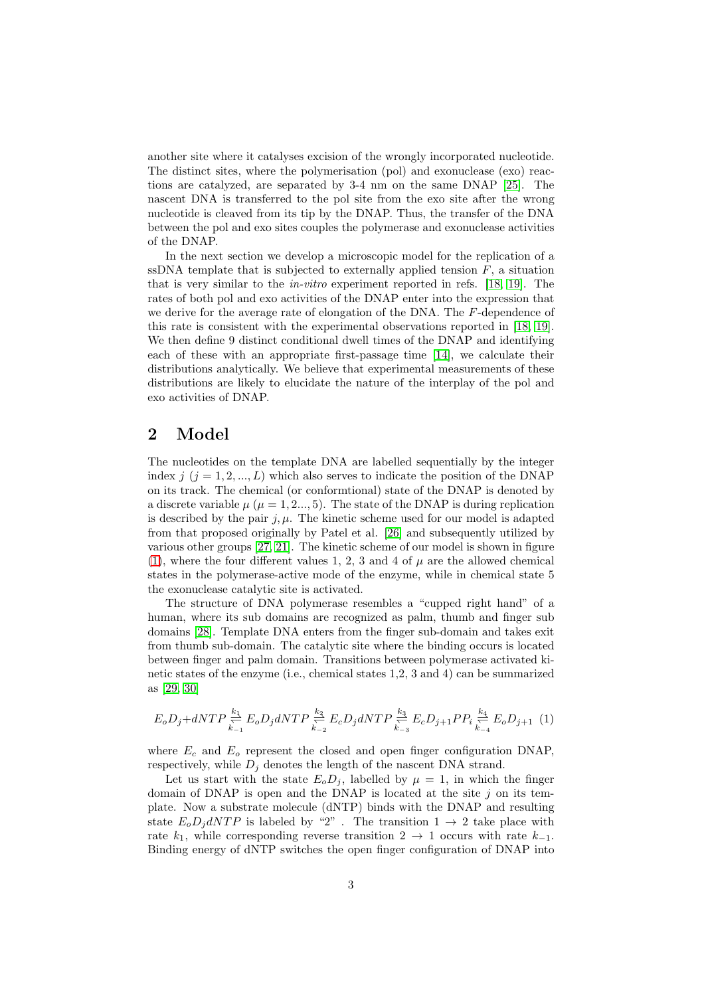another site where it catalyses excision of the wrongly incorporated nucleotide. The distinct sites, where the polymerisation (pol) and exonuclease (exo) reactions are catalyzed, are separated by 3-4 nm on the same DNAP [\[25\]](#page-23-10). The nascent DNA is transferred to the pol site from the exo site after the wrong nucleotide is cleaved from its tip by the DNAP. Thus, the transfer of the DNA between the pol and exo sites couples the polymerase and exonuclease activities of the DNAP.

In the next section we develop a microscopic model for the replication of a ssDNA template that is subjected to externally applied tension  $F$ , a situation that is very similar to the in-vitro experiment reported in refs. [\[18,](#page-23-3) [19\]](#page-23-4). The rates of both pol and exo activities of the DNAP enter into the expression that we derive for the average rate of elongation of the DNA. The  $F$ -dependence of this rate is consistent with the experimental observations reported in [\[18,](#page-23-3) [19\]](#page-23-4). We then define 9 distinct conditional dwell times of the DNAP and identifying each of these with an appropriate first-passage time [\[14\]](#page-22-12), we calculate their distributions analytically. We believe that experimental measurements of these distributions are likely to elucidate the nature of the interplay of the pol and exo activities of DNAP.

### 2 Model

The nucleotides on the template DNA are labelled sequentially by the integer index  $j$  ( $j = 1, 2, ..., L$ ) which also serves to indicate the position of the DNAP on its track. The chemical (or conformtional) state of the DNAP is denoted by a discrete variable  $\mu$  ( $\mu$  = 1, 2..., 5). The state of the DNAP is during replication is described by the pair  $j, \mu$ . The kinetic scheme used for our model is adapted from that proposed originally by Patel et al. [\[26\]](#page-23-11) and subsequently utilized by various other groups [\[27,](#page-23-12) [21\]](#page-23-6). The kinetic scheme of our model is shown in figure [\(1\)](#page-3-0), where the four different values 1, 2, 3 and 4 of  $\mu$  are the allowed chemical states in the polymerase-active mode of the enzyme, while in chemical state 5 the exonuclease catalytic site is activated.

The structure of DNA polymerase resembles a "cupped right hand" of a human, where its sub domains are recognized as palm, thumb and finger sub domains [\[28\]](#page-23-13). Template DNA enters from the finger sub-domain and takes exit from thumb sub-domain. The catalytic site where the binding occurs is located between finger and palm domain. Transitions between polymerase activated kinetic states of the enzyme (i.e., chemical states 1,2, 3 and 4) can be summarized as [\[29,](#page-23-14) [30\]](#page-23-15)

$$
E_o D_j + dNTP \stackrel{k_1}{\underset{k_{-1}}{\rightleftharpoons}} E_o D_j dNTP \stackrel{k_2}{\underset{k_{-2}}{\rightleftharpoons}} E_c D_j dNTP \stackrel{k_3}{\underset{k_{-3}}{\rightleftharpoons}} E_c D_{j+1} P P_i \stackrel{k_4}{\underset{k_{-4}}{\rightleftharpoons}} E_o D_{j+1} \tag{1}
$$

where  $E_c$  and  $E_o$  represent the closed and open finger configuration DNAP, respectively, while  $D_j$  denotes the length of the nascent DNA strand.

Let us start with the state  $E_oD_j$ , labelled by  $\mu = 1$ , in which the finger domain of DNAP is open and the DNAP is located at the site  $j$  on its template. Now a substrate molecule (dNTP) binds with the DNAP and resulting state  $E_o D_j dNTP$  is labeled by "2". The transition  $1 \rightarrow 2$  take place with rate  $k_1$ , while corresponding reverse transition 2  $\rightarrow$  1 occurs with rate  $k_{-1}$ . Binding energy of dNTP switches the open finger configuration of DNAP into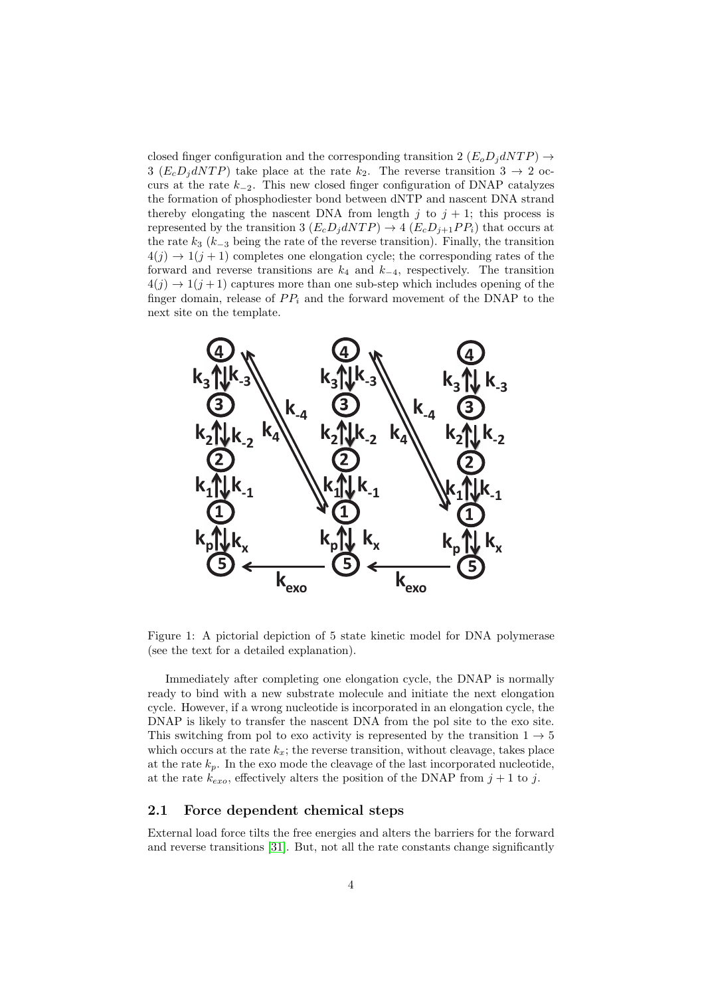closed finger configuration and the corresponding transition 2  $(E_o D_j dNTP) \rightarrow$ 3 ( $E_c D_i dN T P$ ) take place at the rate  $k_2$ . The reverse transition  $3 \rightarrow 2$  occurs at the rate  $k_{-2}$ . This new closed finger configuration of DNAP catalyzes the formation of phosphodiester bond between dNTP and nascent DNA strand thereby elongating the nascent DNA from length j to  $j + 1$ ; this process is represented by the transition 3  $(E_c D_i dN T P) \rightarrow 4 (E_c D_{i+1} P P_i)$  that occurs at the rate  $k_3$  ( $k_{-3}$  being the rate of the reverse transition). Finally, the transition  $4(j) \rightarrow 1(j + 1)$  completes one elongation cycle; the corresponding rates of the forward and reverse transitions are  $k_4$  and  $k_{-4}$ , respectively. The transition  $4(j) \rightarrow 1(j+1)$  captures more than one sub-step which includes opening of the finger domain, release of  $PP_i$  and the forward movement of the DNAP to the next site on the template.



<span id="page-3-0"></span>Figure 1: A pictorial depiction of 5 state kinetic model for DNA polymerase (see the text for a detailed explanation).

Immediately after completing one elongation cycle, the DNAP is normally ready to bind with a new substrate molecule and initiate the next elongation cycle. However, if a wrong nucleotide is incorporated in an elongation cycle, the DNAP is likely to transfer the nascent DNA from the pol site to the exo site. This switching from pol to exo activity is represented by the transition  $1 \rightarrow 5$ which occurs at the rate  $k_x$ ; the reverse transition, without cleavage, takes place at the rate  $k_p$ . In the exo mode the cleavage of the last incorporated nucleotide, at the rate  $k_{exo}$ , effectively alters the position of the DNAP from  $j+1$  to j.

#### <span id="page-3-1"></span>2.1 Force dependent chemical steps

External load force tilts the free energies and alters the barriers for the forward and reverse transitions [\[31\]](#page-23-16). But, not all the rate constants change significantly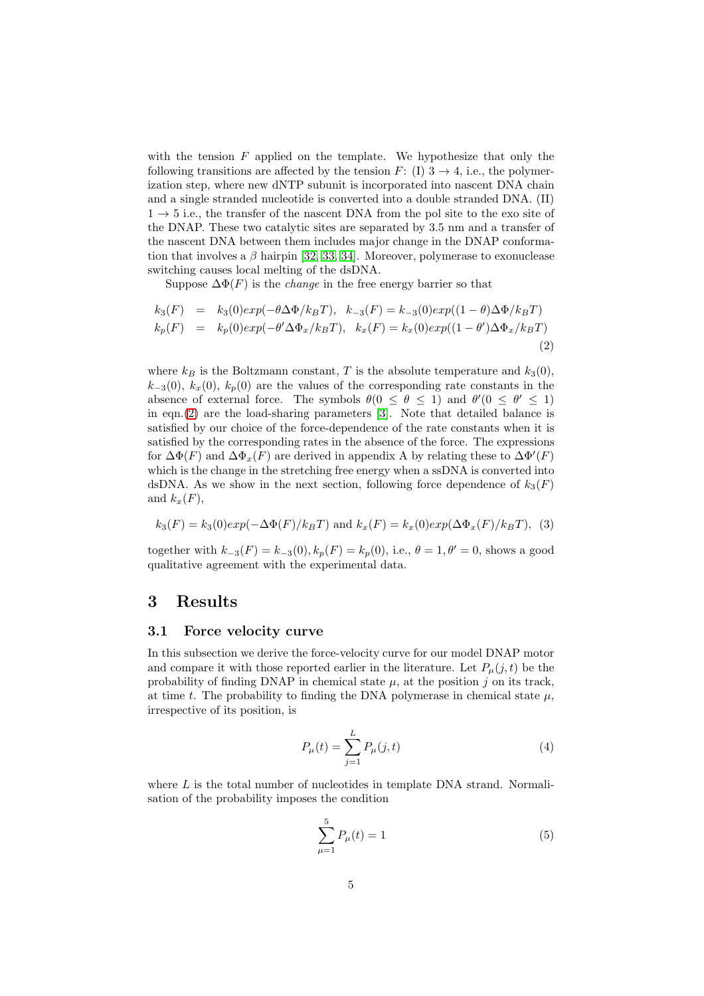with the tension  $F$  applied on the template. We hypothesize that only the following transitions are affected by the tension F: (I)  $3 \rightarrow 4$ , i.e., the polymerization step, where new dNTP subunit is incorporated into nascent DNA chain and a single stranded nucleotide is converted into a double stranded DNA. (II)  $1 \rightarrow 5$  i.e., the transfer of the nascent DNA from the pol site to the exo site of the DNAP. These two catalytic sites are separated by 3.5 nm and a transfer of the nascent DNA between them includes major change in the DNAP conformation that involves a  $\beta$  hairpin [\[32,](#page-23-17) [33,](#page-23-18) [34\]](#page-23-19). Moreover, polymerase to exonuclease switching causes local melting of the dsDNA.

Suppose  $\Delta \Phi(F)$  is the *change* in the free energy barrier so that

<span id="page-4-0"></span>
$$
k_3(F) = k_3(0)exp(-\theta \Delta \Phi/k_BT), \quad k_{-3}(F) = k_{-3}(0)exp((1-\theta) \Delta \Phi/k_BT)
$$
  
\n
$$
k_p(F) = k_p(0)exp(-\theta' \Delta \Phi_x/k_BT), \quad k_x(F) = k_x(0)exp((1-\theta') \Delta \Phi_x/k_BT)
$$
\n(2)

where  $k_B$  is the Boltzmann constant, T is the absolute temperature and  $k_3(0)$ ,  $k_{-3}(0)$ ,  $k_{x}(0)$ ,  $k_{p}(0)$  are the values of the corresponding rate constants in the absence of external force. The symbols  $\theta(0 \le \theta \le 1)$  and  $\theta'(0 \le \theta' \le 1)$ in eqn.[\(2\)](#page-4-0) are the load-sharing parameters [\[3\]](#page-22-2). Note that detailed balance is satisfied by our choice of the force-dependence of the rate constants when it is satisfied by the corresponding rates in the absence of the force. The expressions for  $\Delta\Phi(F)$  and  $\Delta\Phi_x(F)$  are derived in appendix A by relating these to  $\Delta\Phi'(F)$ which is the change in the stretching free energy when a ssDNA is converted into dsDNA. As we show in the next section, following force dependence of  $k_3(F)$ and  $k_x(F)$ ,

<span id="page-4-1"></span>
$$
k_3(F) = k_3(0)exp(-\Delta\Phi(F)/k_BT)
$$
 and 
$$
k_x(F) = k_x(0)exp(\Delta\Phi_x(F)/k_BT)
$$
, (3)

together with  $k_{-3}(F) = k_{-3}(0), k_p(F) = k_p(0)$ , i.e.,  $\theta = 1, \theta' = 0$ , shows a good qualitative agreement with the experimental data.

### <span id="page-4-3"></span><span id="page-4-2"></span>3 Results

#### 3.1 Force velocity curve

In this subsection we derive the force-velocity curve for our model DNAP motor and compare it with those reported earlier in the literature. Let  $P_{\mu}(j, t)$  be the probability of finding DNAP in chemical state  $\mu$ , at the position j on its track, at time t. The probability to finding the DNA polymerase in chemical state  $\mu$ , irrespective of its position, is

$$
P_{\mu}(t) = \sum_{j=1}^{L} P_{\mu}(j, t)
$$
\n(4)

where  $L$  is the total number of nucleotides in template DNA strand. Normalisation of the probability imposes the condition

$$
\sum_{\mu=1}^{5} P_{\mu}(t) = 1 \tag{5}
$$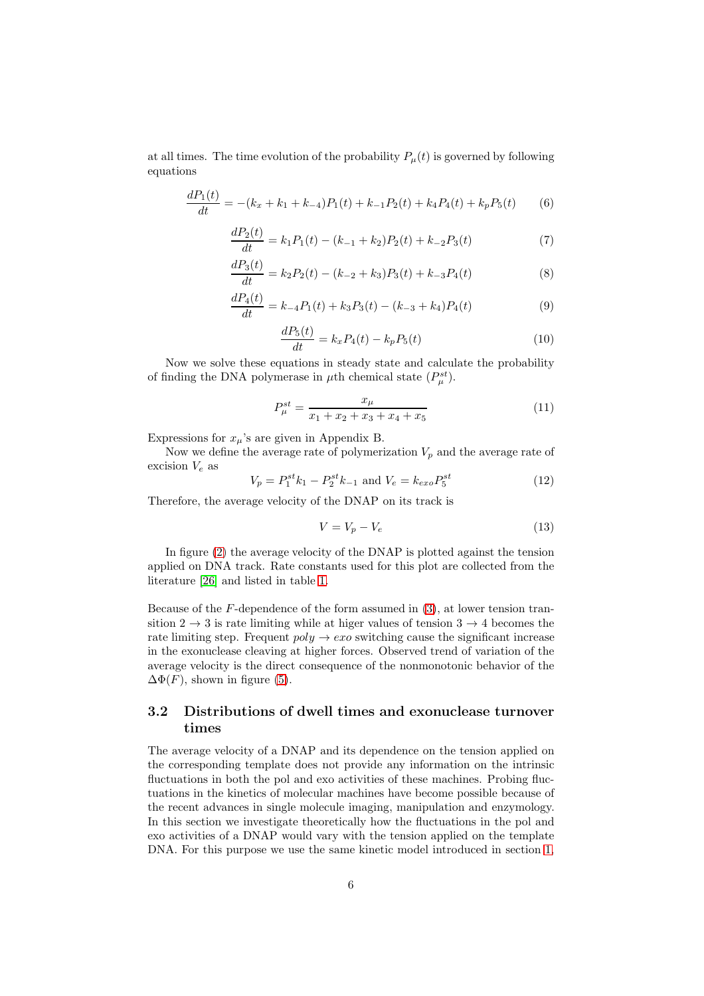at all times. The time evolution of the probability  $P_{\mu}(t)$  is governed by following equations

$$
\frac{dP_1(t)}{dt} = -(k_x + k_1 + k_{-4})P_1(t) + k_{-1}P_2(t) + k_4P_4(t) + k_pP_5(t)
$$
(6)

$$
\frac{dP_2(t)}{dt} = k_1 P_1(t) - (k_{-1} + k_2)P_2(t) + k_{-2}P_3(t)
$$
\n(7)

$$
\frac{dP_3(t)}{dt} = k_2 P_2(t) - (k_{-2} + k_3)P_3(t) + k_{-3} P_4(t)
$$
\n(8)

$$
\frac{dP_4(t)}{dt} = k_{-4}P_1(t) + k_3P_3(t) - (k_{-3} + k_4)P_4(t)
$$
\n(9)

$$
\frac{dP_5(t)}{dt} = k_x P_4(t) - k_p P_5(t)
$$
\n(10)

Now we solve these equations in steady state and calculate the probability of finding the DNA polymerase in  $\mu$ th chemical state  $(P_{\mu}^{st})$ .

$$
P_{\mu}^{st} = \frac{x_{\mu}}{x_1 + x_2 + x_3 + x_4 + x_5} \tag{11}
$$

Expressions for  $x_{\mu}$ 's are given in Appendix B.

Now we define the average rate of polymerization  $V_p$  and the average rate of excision  $V_e$  as

$$
V_p = P_1^{st} k_1 - P_2^{st} k_{-1} \text{ and } V_e = k_{exo} P_5^{st}
$$
 (12)

Therefore, the average velocity of the DNAP on its track is

$$
V = V_p - V_e \tag{13}
$$

In figure [\(2\)](#page-6-0) the average velocity of the DNAP is plotted against the tension applied on DNA track. Rate constants used for this plot are collected from the literature [\[26\]](#page-23-11) and listed in table [1.](#page-6-1)

Because of the F-dependence of the form assumed in [\(3\)](#page-4-1), at lower tension transition  $2 \rightarrow 3$  is rate limiting while at higer values of tension  $3 \rightarrow 4$  becomes the rate limiting step. Frequent  $poly \rightarrow exo$  switching cause the significant increase in the exonuclease cleaving at higher forces. Observed trend of variation of the average velocity is the direct consequence of the nonmonotonic behavior of the  $\Delta\Phi(F)$ , shown in figure [\(5\)](#page-18-0).

### 3.2 Distributions of dwell times and exonuclease turnover times

The average velocity of a DNAP and its dependence on the tension applied on the corresponding template does not provide any information on the intrinsic fluctuations in both the pol and exo activities of these machines. Probing fluctuations in the kinetics of molecular machines have become possible because of the recent advances in single molecule imaging, manipulation and enzymology. In this section we investigate theoretically how the fluctuations in the pol and exo activities of a DNAP would vary with the tension applied on the template DNA. For this purpose we use the same kinetic model introduced in section [1,](#page-0-0)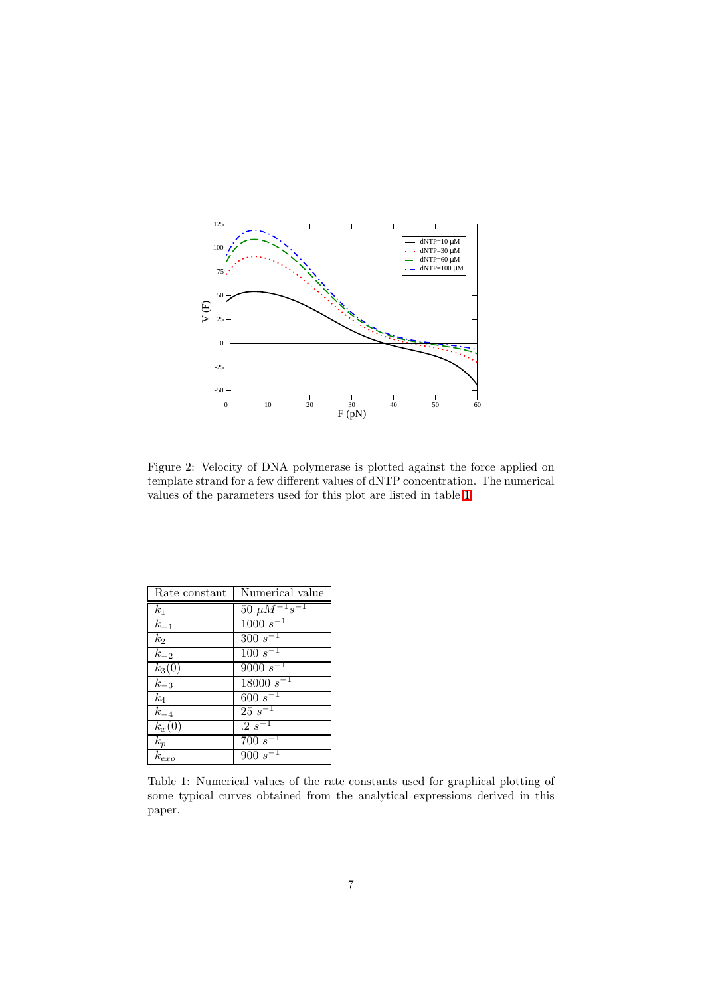

<span id="page-6-0"></span>Figure 2: Velocity of DNA polymerase is plotted against the force applied on template strand for a few different values of dNTP concentration. The numerical values of the parameters used for this plot are listed in table [1.](#page-6-1)

| Rate constant       | Numerical value          |
|---------------------|--------------------------|
| k <sub>1</sub>      | $50 \ \mu M^{-1} s^{-1}$ |
| $k_{-1}$            | $1000 s^{-1}$            |
| $k_2$               | $300 s^{-1}$             |
| $k_{-2}$            | $100 s^{-1}$             |
| $k_3(0)$            | $9000 s^{-1}$            |
| $k_{-3}$            | $18000 s^{-1}$           |
| $k_4$               | $\frac{600}{s^{-1}}$     |
| $k_{-4}$            | $25s^{-1}$               |
| $k_x(0)$            | $.2 s^{-1}$              |
| $k_{\underline{p}}$ | $700 s^{-1}$             |
| $k_{exo}$           | $900 s^{-1}$             |

<span id="page-6-1"></span>Table 1: Numerical values of the rate constants used for graphical plotting of some typical curves obtained from the analytical expressions derived in this paper.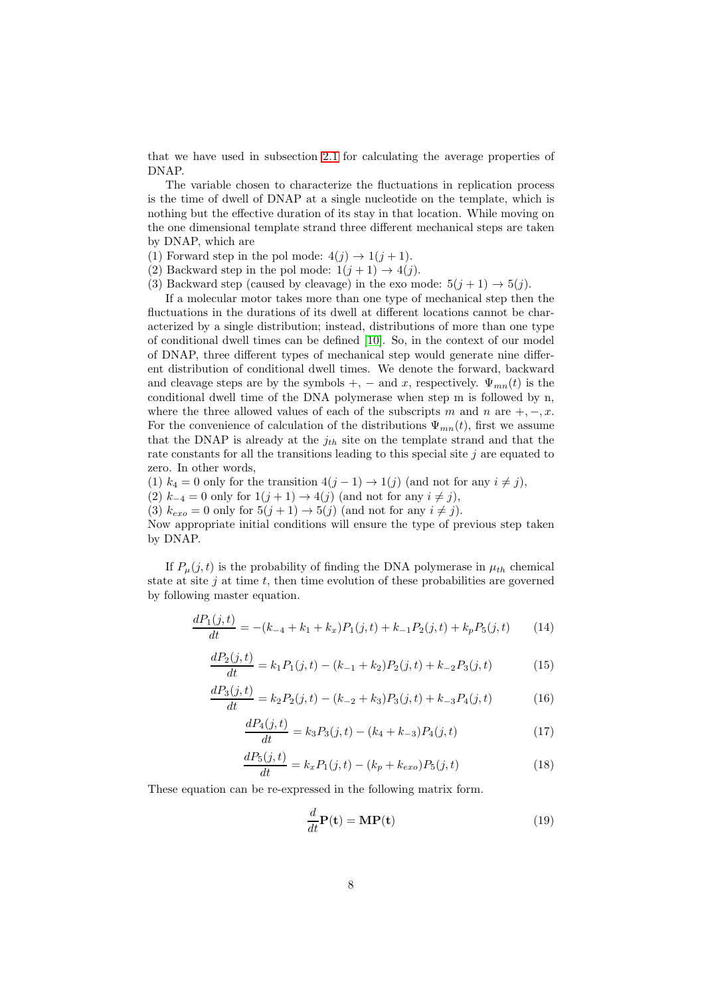that we have used in subsection [2.1](#page-3-1) for calculating the average properties of DNAP.

The variable chosen to characterize the fluctuations in replication process is the time of dwell of DNAP at a single nucleotide on the template, which is nothing but the effective duration of its stay in that location. While moving on the one dimensional template strand three different mechanical steps are taken by DNAP, which are

- (1) Forward step in the pol mode:  $4(j) \rightarrow 1(j+1)$ .
- (2) Backward step in the pol mode:  $1(j + 1) \rightarrow 4(j)$ .
- (3) Backward step (caused by cleavage) in the exo mode:  $5(j + 1) \rightarrow 5(j)$ .

If a molecular motor takes more than one type of mechanical step then the fluctuations in the durations of its dwell at different locations cannot be characterized by a single distribution; instead, distributions of more than one type of conditional dwell times can be defined [\[10\]](#page-22-9). So, in the context of our model of DNAP, three different types of mechanical step would generate nine different distribution of conditional dwell times. We denote the forward, backward and cleavage steps are by the symbols +, – and x, respectively.  $\Psi_{mn}(t)$  is the conditional dwell time of the DNA polymerase when step m is followed by n, where the three allowed values of each of the subscripts m and n are  $+,-,x$ . For the convenience of calculation of the distributions  $\Psi_{mn}(t)$ , first we assume that the DNAP is already at the  $j_{th}$  site on the template strand and that the rate constants for all the transitions leading to this special site  $j$  are equated to zero. In other words,

(1)  $k_4 = 0$  only for the transition  $4(j-1) \rightarrow 1(j)$  (and not for any  $i \neq j$ ), (2)  $k_{-4} = 0$  only for  $1(j + 1) \rightarrow 4(j)$  (and not for any  $i \neq j$ ), (3)  $k_{exo} = 0$  only for  $5(j + 1) \rightarrow 5(j)$  (and not for any  $i \neq j$ ).

Now appropriate initial conditions will ensure the type of previous step taken by DNAP.

If  $P_{\mu}(j,t)$  is the probability of finding the DNA polymerase in  $\mu_{th}$  chemical state at site  $j$  at time  $t$ , then time evolution of these probabilities are governed by following master equation.

$$
\frac{dP_1(j,t)}{dt} = -(k_{-4} + k_1 + k_x)P_1(j,t) + k_{-1}P_2(j,t) + k_p P_5(j,t) \tag{14}
$$

$$
\frac{dP_2(j,t)}{dt} = k_1 P_1(j,t) - (k_{-1} + k_2) P_2(j,t) + k_{-2} P_3(j,t) \tag{15}
$$

$$
\frac{dP_3(j,t)}{dt} = k_2 P_2(j,t) - (k_{-2} + k_3) P_3(j,t) + k_{-3} P_4(j,t) \tag{16}
$$

$$
\frac{dP_4(j,t)}{dt} = k_3 P_3(j,t) - (k_4 + k_{-3})P_4(j,t)
$$
\n(17)

$$
\frac{dP_5(j,t)}{dt} = k_x P_1(j,t) - (k_p + k_{exo}) P_5(j,t)
$$
\n(18)

These equation can be re-expressed in the following matrix form.

<span id="page-7-0"></span>
$$
\frac{d}{dt}\mathbf{P(t)} = \mathbf{MP(t)}\tag{19}
$$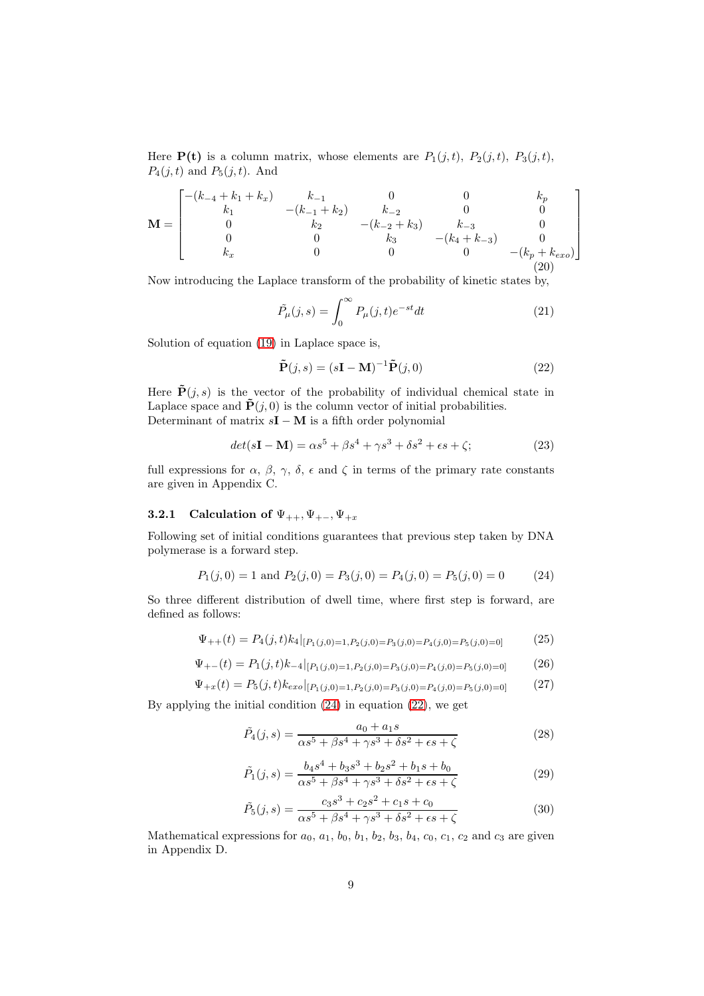Here  $P(t)$  is a column matrix, whose elements are  $P_1(j,t)$ ,  $P_2(j,t)$ ,  $P_3(j,t)$ ,  $P_4(j,t)$  and  $P_5(j,t)$ . And

$$
\mathbf{M} = \begin{bmatrix} -(k_{-4} + k_1 + k_x) & k_{-1} & 0 & 0 & k_p \\ k_1 & -(k_{-1} + k_2) & k_{-2} & 0 & 0 \\ 0 & k_2 & -(k_{-2} + k_3) & k_{-3} & 0 \\ 0 & 0 & k_3 & -(k_4 + k_{-3}) & 0 \\ k_x & 0 & 0 & 0 & -(k_p + k_{exo}) \end{bmatrix}
$$
 (20)

Now introducing the Laplace transform of the probability of kinetic states by,

$$
\tilde{P}_{\mu}(j,s) = \int_0^{\infty} P_{\mu}(j,t)e^{-st}dt
$$
\n(21)

Solution of equation [\(19\)](#page-7-0) in Laplace space is,

<span id="page-8-1"></span>
$$
\tilde{\mathbf{P}}(j,s) = (s\mathbf{I} - \mathbf{M})^{-1} \tilde{\mathbf{P}}(j,0)
$$
\n(22)

Here  $\tilde{\mathbf{P}}(j,s)$  is the vector of the probability of individual chemical state in Laplace space and  $\tilde{\mathbf{P}}(j,0)$  is the column vector of initial probabilities. Determinant of matrix  $sI - M$  is a fifth order polynomial

$$
det(s\mathbf{I} - \mathbf{M}) = \alpha s^5 + \beta s^4 + \gamma s^3 + \delta s^2 + \epsilon s + \zeta;
$$
 (23)

full expressions for  $\alpha$ ,  $\beta$ ,  $\gamma$ ,  $\delta$ ,  $\epsilon$  and  $\zeta$  in terms of the primary rate constants are given in Appendix C.

#### 3.2.1 Calculation of  $\Psi_{++}, \Psi_{+-}, \Psi_{+x}$

Following set of initial conditions guarantees that previous step taken by DNA polymerase is a forward step.

<span id="page-8-0"></span>
$$
P_1(j,0) = 1
$$
 and  $P_2(j,0) = P_3(j,0) = P_4(j,0) = P_5(j,0) = 0$  (24)

So three different distribution of dwell time, where first step is forward, are defined as follows:

<span id="page-8-5"></span>
$$
\Psi_{++}(t) = P_4(j,t)k_4|_{[P_1(j,0)=1,P_2(j,0)=P_3(j,0)=P_4(j,0)=P_5(j,0)=0]} \tag{25}
$$

<span id="page-8-6"></span>
$$
\Psi_{+-}(t) = P_1(j,t)k_{-4}|_{[P_1(j,0)=1,P_2(j,0)=P_3(j,0)=P_4(j,0)=P_5(j,0)=0]} \tag{26}
$$

<span id="page-8-7"></span>
$$
\Psi_{+x}(t) = P_5(j,t)k_{exo}|_{[P_1(j,0)=1,P_2(j,0)=P_3(j,0)=P_4(j,0)=P_5(j,0)=0]} \tag{27}
$$

By applying the initial condition [\(24\)](#page-8-0) in equation [\(22\)](#page-8-1), we get

<span id="page-8-2"></span>
$$
\tilde{P}_4(j,s) = \frac{a_0 + a_1s}{\alpha s^5 + \beta s^4 + \gamma s^3 + \delta s^2 + \epsilon s + \zeta}
$$
\n(28)

<span id="page-8-3"></span>
$$
\tilde{P}_1(j,s) = \frac{b_4s^4 + b_3s^3 + b_2s^2 + b_1s + b_0}{\alpha s^5 + \beta s^4 + \gamma s^3 + \delta s^2 + \epsilon s + \zeta}
$$
\n(29)

<span id="page-8-4"></span>
$$
\tilde{P}_5(j,s) = \frac{c_3 s^3 + c_2 s^2 + c_1 s + c_0}{\alpha s^5 + \beta s^4 + \gamma s^3 + \delta s^2 + \epsilon s + \zeta}
$$
\n(30)

Mathematical expressions for  $a_0$ ,  $a_1$ ,  $b_0$ ,  $b_1$ ,  $b_2$ ,  $b_3$ ,  $b_4$ ,  $c_0$ ,  $c_1$ ,  $c_2$  and  $c_3$  are given in Appendix D.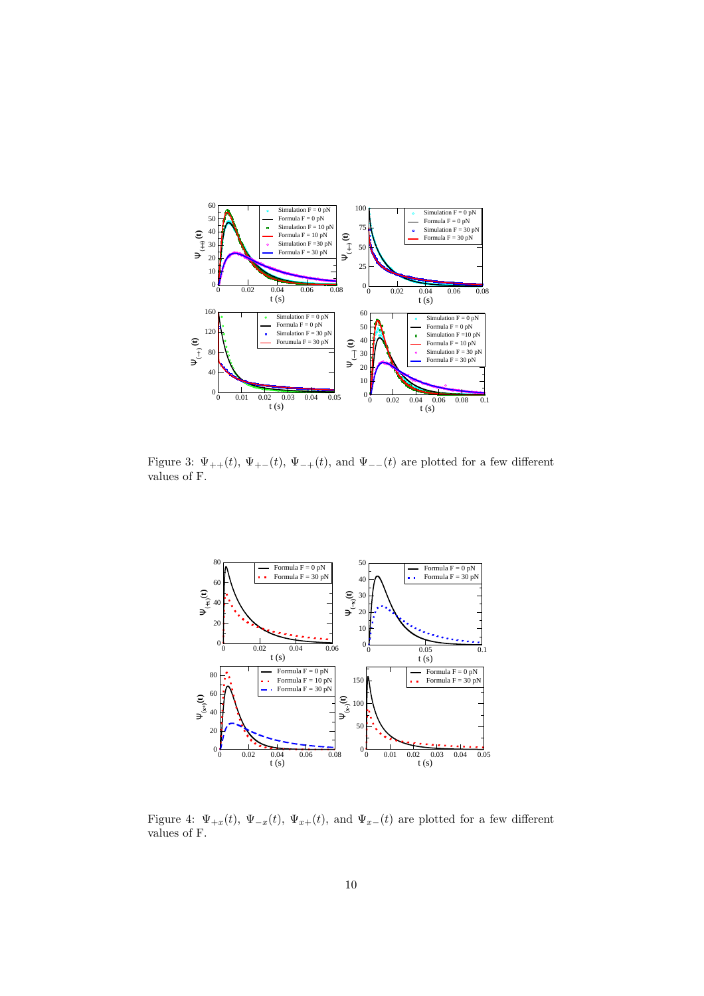

<span id="page-9-0"></span>Figure 3:  $\Psi_{++}(t)$ ,  $\Psi_{+-}(t)$ ,  $\Psi_{-+}(t)$ , and  $\Psi_{--}(t)$  are plotted for a few different values of F.



<span id="page-9-1"></span>Figure 4:  $\Psi_{+x}(t)$ ,  $\Psi_{-x}(t)$ ,  $\Psi_{x+}(t)$ , and  $\Psi_{x-}(t)$  are plotted for a few different values of F.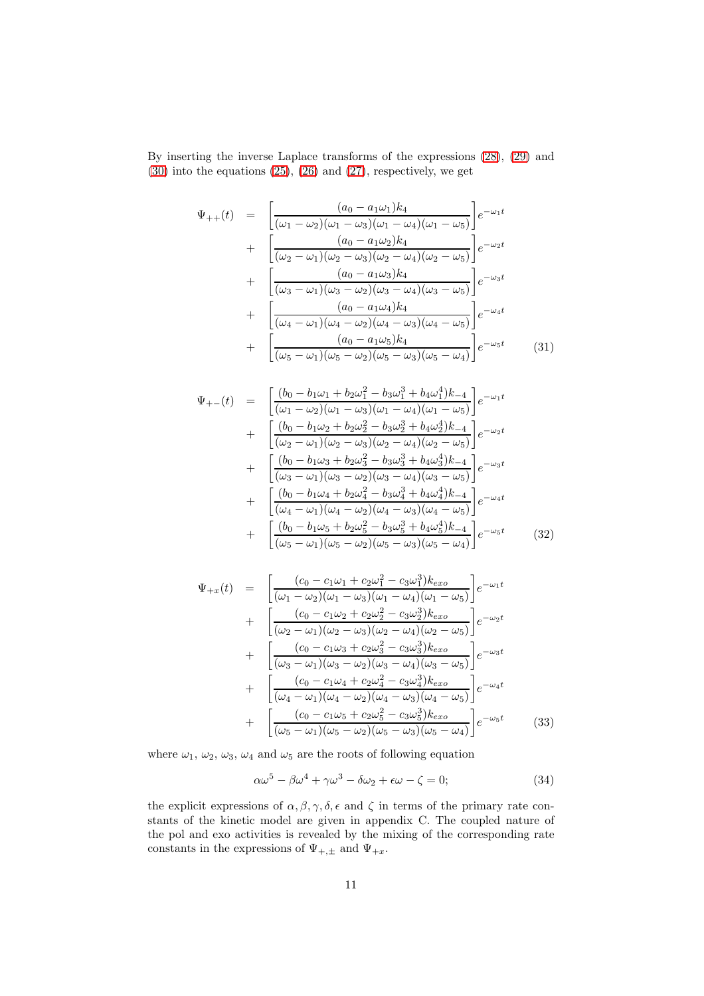By inserting the inverse Laplace transforms of the expressions [\(28\)](#page-8-2), [\(29\)](#page-8-3) and [\(30\)](#page-8-4) into the equations [\(25\)](#page-8-5), [\(26\)](#page-8-6) and [\(27\)](#page-8-7), respectively, we get

$$
\Psi_{++}(t) = \left[ \frac{(a_0 - a_1 \omega_1)k_4}{(\omega_1 - \omega_2)(\omega_1 - \omega_3)(\omega_1 - \omega_4)(\omega_1 - \omega_5)} \right] e^{-\omega_1 t} \n+ \left[ \frac{(a_0 - a_1 \omega_2)k_4}{(\omega_2 - \omega_1)(\omega_2 - \omega_3)(\omega_2 - \omega_4)(\omega_2 - \omega_5)} \right] e^{-\omega_2 t} \n+ \left[ \frac{(a_0 - a_1 \omega_3)k_4}{(\omega_3 - \omega_1)(\omega_3 - \omega_2)(\omega_3 - \omega_4)(\omega_3 - \omega_5)} \right] e^{-\omega_3 t} \n+ \left[ \frac{(a_0 - a_1 \omega_4)k_4}{(\omega_4 - \omega_1)(\omega_4 - \omega_2)(\omega_4 - \omega_3)(\omega_4 - \omega_5)} \right] e^{-\omega_4 t} \n+ \left[ \frac{(a_0 - a_1 \omega_5)k_4}{(\omega_5 - \omega_1)(\omega_5 - \omega_2)(\omega_5 - \omega_3)(\omega_5 - \omega_4)} \right] e^{-\omega_5 t}
$$
\n(31)

$$
\Psi_{+-}(t) = \begin{bmatrix}\n(b_0 - b_1\omega_1 + b_2\omega_1^2 - b_3\omega_1^3 + b_4\omega_1^4)k_{-4} \\
(\omega_1 - \omega_2)(\omega_1 - \omega_3)(\omega_1 - \omega_4)(\omega_1 - \omega_5)\n\end{bmatrix} e^{-\omega_1 t} \\
+ \begin{bmatrix}\n(b_0 - b_1\omega_2 + b_2\omega_2^2 - b_3\omega_2^3 + b_4\omega_2^4)k_{-4} \\
(\omega_2 - \omega_1)(\omega_2 - \omega_3)(\omega_2 - \omega_4)(\omega_2 - \omega_5)\n\end{bmatrix} e^{-\omega_2 t} \\
+ \begin{bmatrix}\n(b_0 - b_1\omega_3 + b_2\omega_3^2 - b_3\omega_3^3 + b_4\omega_3^4)k_{-4} \\
(\omega_3 - \omega_1)(\omega_3 - \omega_2)(\omega_3 - \omega_4)(\omega_3 - \omega_5)\n\end{bmatrix} e^{-\omega_3 t} \\
+ \begin{bmatrix}\n(b_0 - b_1\omega_4 + b_2\omega_4^2 - b_3\omega_4^3 + b_4\omega_4^4)k_{-4} \\
(\omega_4 - \omega_1)(\omega_4 - \omega_2)(\omega_4 - \omega_3)(\omega_4 - \omega_5)\n\end{bmatrix} e^{-\omega_4 t} \\
+ \begin{bmatrix}\n(b_0 - b_1\omega_5 + b_2\omega_5^2 - b_3\omega_5^3 + b_4\omega_5^4)k_{-4} \\
(\omega_5 - \omega_1)(\omega_5 - \omega_2)(\omega_5 - \omega_3)(\omega_5 - \omega_4)\n\end{bmatrix} e^{-\omega_5 t} \n(32)
$$

$$
\Psi_{+x}(t) = \left[ \frac{(c_0 - c_1\omega_1 + c_2\omega_1^2 - c_3\omega_1^3)k_{exo}}{(\omega_1 - \omega_2)(\omega_1 - \omega_3)(\omega_1 - \omega_4)(\omega_1 - \omega_5)} \right] e^{-\omega_1 t} \n+ \left[ \frac{(c_0 - c_1\omega_2 + c_2\omega_2^2 - c_3\omega_2^3)k_{exo}}{(\omega_2 - \omega_1)(\omega_2 - \omega_3)(\omega_2 - \omega_4)(\omega_2 - \omega_5)} \right] e^{-\omega_2 t} \n+ \left[ \frac{(c_0 - c_1\omega_3 + c_2\omega_3^2 - c_3\omega_3^3)k_{exo}}{(\omega_3 - \omega_1)(\omega_3 - \omega_2)(\omega_3 - \omega_4)(\omega_3 - \omega_5)} \right] e^{-\omega_3 t} \n+ \left[ \frac{(c_0 - c_1\omega_4 + c_2\omega_4^2 - c_3\omega_4^3)k_{exo}}{(\omega_4 - \omega_1)(\omega_4 - \omega_2)(\omega_4 - \omega_3)(\omega_4 - \omega_5)} \right] e^{-\omega_4 t} \n+ \left[ \frac{(c_0 - c_1\omega_5 + c_2\omega_5^2 - c_3\omega_5^3)k_{exo}}{(\omega_5 - \omega_1)(\omega_5 - \omega_2)(\omega_5 - \omega_3)(\omega_5 - \omega_4)} \right] e^{-\omega_5 t}
$$
\n(33)

where  $\omega_1, \omega_2, \omega_3, \omega_4$  and  $\omega_5$  are the roots of following equation

<span id="page-10-0"></span>
$$
\alpha \omega^5 - \beta \omega^4 + \gamma \omega^3 - \delta \omega_2 + \epsilon \omega - \zeta = 0; \tag{34}
$$

the explicit expressions of  $\alpha, \beta, \gamma, \delta, \epsilon$  and  $\zeta$  in terms of the primary rate constants of the kinetic model are given in appendix C. The coupled nature of the pol and exo activities is revealed by the mixing of the corresponding rate constants in the expressions of  $\Psi_{+, \pm}$  and  $\Psi_{+x}$ .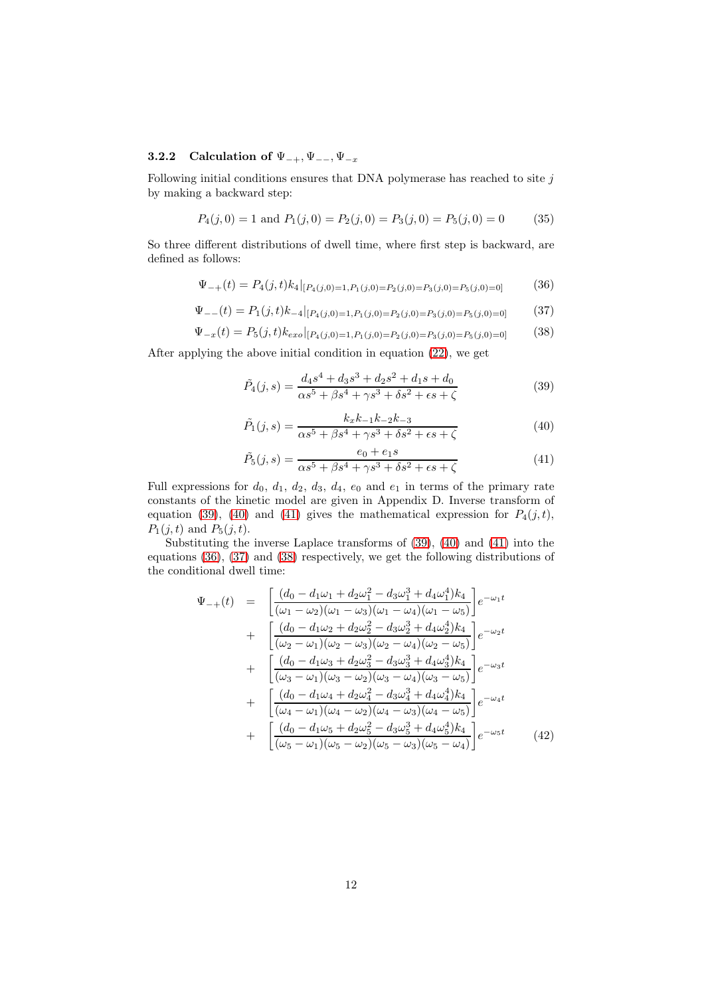#### 3.2.2 Calculation of  $\Psi_{-+}, \Psi_{--}, \Psi_{-x}$

Following initial conditions ensures that DNA polymerase has reached to site  $j$ by making a backward step:

$$
P_4(j,0) = 1
$$
 and  $P_1(j,0) = P_2(j,0) = P_3(j,0) = P_5(j,0) = 0$  (35)

So three different distributions of dwell time, where first step is backward, are defined as follows:

<span id="page-11-3"></span>
$$
\Psi_{-+}(t) = P_4(j,t)k_4|_{[P_4(j,0)=1, P_1(j,0)=P_2(j,0)=P_3(j,0)=P_5(j,0)=0]}
$$
\n(36)

<span id="page-11-4"></span>
$$
\Psi_{--}(t) = P_1(j,t)k_{-4}|_{[P_4(j,0)=1,P_1(j,0)=P_2(j,0)=P_3(j,0)=P_5(j,0)=0]} \tag{37}
$$

<span id="page-11-5"></span>
$$
\Psi_{-x}(t) = P_5(j,t)k_{exo}|_{[P_4(j,0)=1,P_1(j,0)=P_2(j,0)=P_3(j,0)=P_5(j,0)=0]} \tag{38}
$$

After applying the above initial condition in equation [\(22\)](#page-8-1), we get

<span id="page-11-0"></span>
$$
\tilde{P}_4(j,s) = \frac{d_4s^4 + d_3s^3 + d_2s^2 + d_1s + d_0}{\alpha s^5 + \beta s^4 + \gamma s^3 + \delta s^2 + \epsilon s + \zeta}
$$
\n(39)

<span id="page-11-1"></span>
$$
\tilde{P}_1(j,s) = \frac{k_x k_{-1} k_{-2} k_{-3}}{\alpha s^5 + \beta s^4 + \gamma s^3 + \delta s^2 + \epsilon s + \zeta}
$$
\n(40)

<span id="page-11-2"></span>
$$
\tilde{P}_5(j,s) = \frac{e_0 + e_1 s}{\alpha s^5 + \beta s^4 + \gamma s^3 + \delta s^2 + \epsilon s + \zeta}
$$
\n(41)

Full expressions for  $d_0$ ,  $d_1$ ,  $d_2$ ,  $d_3$ ,  $d_4$ ,  $e_0$  and  $e_1$  in terms of the primary rate constants of the kinetic model are given in Appendix D. Inverse transform of equation [\(39\)](#page-11-0), [\(40\)](#page-11-1) and [\(41\)](#page-11-2) gives the mathematical expression for  $P_4(j, t)$ ,  $P_1(j,t)$  and  $P_5(j,t)$ .

Substituting the inverse Laplace transforms of [\(39\)](#page-11-0), [\(40\)](#page-11-1) and [\(41\)](#page-11-2) into the equations [\(36\)](#page-11-3), [\(37\)](#page-11-4) and [\(38\)](#page-11-5) respectively, we get the following distributions of the conditional dwell time:

$$
\Psi_{-+}(t) = \begin{bmatrix}\n(d_0 - d_1\omega_1 + d_2\omega_1^2 - d_3\omega_1^3 + d_4\omega_1^4)k_4 \\
(\omega_1 - \omega_2)(\omega_1 - \omega_3)(\omega_1 - \omega_4)(\omega_1 - \omega_5)\n\end{bmatrix} e^{-\omega_1 t} \n+ \begin{bmatrix}\n(d_0 - d_1\omega_2 + d_2\omega_2^2 - d_3\omega_2^3 + d_4\omega_2^4)k_4 \\
(\omega_2 - \omega_1)(\omega_2 - \omega_3)(\omega_2 - \omega_4)(\omega_2 - \omega_5)\n\end{bmatrix} e^{-\omega_2 t} \n+ \begin{bmatrix}\n(d_0 - d_1\omega_3 + d_2\omega_3^2 - d_3\omega_3^3 + d_4\omega_3^4)k_4 \\
(\omega_3 - \omega_1)(\omega_3 - \omega_2)(\omega_3 - \omega_4)(\omega_3 - \omega_5)\n\end{bmatrix} e^{-\omega_3 t} \n+ \begin{bmatrix}\n(d_0 - d_1\omega_4 + d_2\omega_4^2 - d_3\omega_4^3 + d_4\omega_4^4)k_4 \\
(\omega_4 - \omega_1)(\omega_4 - \omega_2)(\omega_4 - \omega_3)(\omega_4 - \omega_5)\n\end{bmatrix} e^{-\omega_4 t} \n+ \begin{bmatrix}\n(d_0 - d_1\omega_5 + d_2\omega_5^2 - d_3\omega_5^3 + d_4\omega_5^4)k_4 \\
(\omega_5 - \omega_1)(\omega_5 - \omega_2)(\omega_5 - \omega_3)(\omega_5 - \omega_4)\n\end{bmatrix} e^{-\omega_5 t}
$$
\n(42)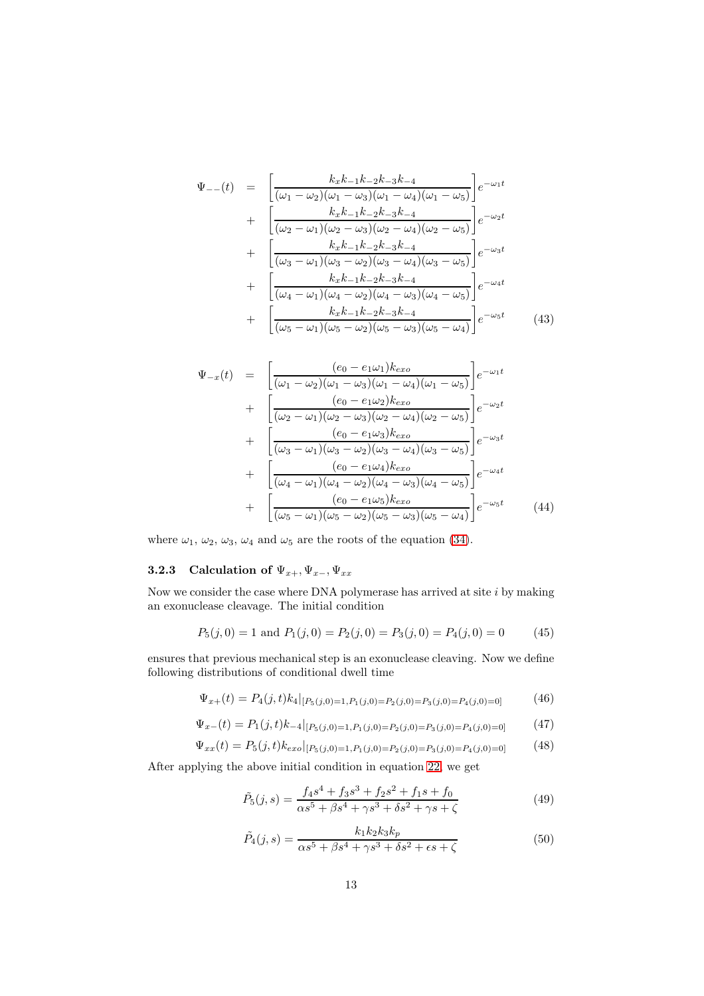$$
\Psi_{--}(t) = \left[ \frac{k_x k_{-1} k_{-2} k_{-3} k_{-4}}{(\omega_1 - \omega_2)(\omega_1 - \omega_3)(\omega_1 - \omega_4)(\omega_1 - \omega_5)} \right] e^{-\omega_1 t} \n+ \left[ \frac{k_x k_{-1} k_{-2} k_{-3} k_{-4}}{(\omega_2 - \omega_1)(\omega_2 - \omega_3)(\omega_2 - \omega_4)(\omega_2 - \omega_5)} \right] e^{-\omega_2 t} \n+ \left[ \frac{k_x k_{-1} k_{-2} k_{-3} k_{-4}}{(\omega_3 - \omega_1)(\omega_3 - \omega_2)(\omega_3 - \omega_4)(\omega_3 - \omega_5)} \right] e^{-\omega_3 t} \n+ \left[ \frac{k_x k_{-1} k_{-2} k_{-3} k_{-4}}{(\omega_4 - \omega_1)(\omega_4 - \omega_2)(\omega_4 - \omega_3)(\omega_4 - \omega_5)} \right] e^{-\omega_4 t} \n+ \left[ \frac{k_x k_{-1} k_{-2} k_{-3} k_{-4}}{(\omega_5 - \omega_1)(\omega_5 - \omega_2)(\omega_5 - \omega_3)(\omega_5 - \omega_4)} \right] e^{-\omega_5 t} \tag{43}
$$

$$
\Psi_{-x}(t) = \left[ \frac{(e_0 - e_1 \omega_1) k_{exo}}{(\omega_1 - \omega_2) (\omega_1 - \omega_3) (\omega_1 - \omega_4) (\omega_1 - \omega_5)} \right] e^{-\omega_1 t} \n+ \left[ \frac{(e_0 - e_1 \omega_2) k_{exo}}{(\omega_2 - \omega_1) (\omega_2 - \omega_3) (\omega_2 - \omega_4) (\omega_2 - \omega_5)} \right] e^{-\omega_2 t} \n+ \left[ \frac{(e_0 - e_1 \omega_3) k_{exo}}{(\omega_3 - \omega_1) (\omega_3 - \omega_2) (\omega_3 - \omega_4) (\omega_3 - \omega_5)} \right] e^{-\omega_3 t} \n+ \left[ \frac{(e_0 - e_1 \omega_4) k_{exo}}{(\omega_4 - \omega_1) (\omega_4 - \omega_2) (\omega_4 - \omega_3) (\omega_4 - \omega_5)} \right] e^{-\omega_4 t} \n+ \left[ \frac{(e_0 - e_1 \omega_5) k_{exo}}{(\omega_5 - \omega_1) (\omega_5 - \omega_2) (\omega_5 - \omega_3) (\omega_5 - \omega_4)} \right] e^{-\omega_5 t} \qquad (44)
$$

where  $\omega_1$ ,  $\omega_2$ ,  $\omega_3$ ,  $\omega_4$  and  $\omega_5$  are the roots of the equation [\(34\)](#page-10-0).

### 3.2.3 Calculation of  $\Psi_{x+}, \Psi_{x-}, \Psi_{xx}$

Now we consider the case where DNA polymerase has arrived at site  $i$  by making an exonuclease cleavage. The initial condition

$$
P_5(j,0) = 1 \text{ and } P_1(j,0) = P_2(j,0) = P_3(j,0) = P_4(j,0) = 0 \tag{45}
$$

ensures that previous mechanical step is an exonuclease cleaving. Now we define following distributions of conditional dwell time

<span id="page-12-2"></span>
$$
\Psi_{x+}(t) = P_4(j,t) k_4 |_{[P_5(j,0)=1, P_1(j,0)=P_2(j,0)=P_3(j,0)=P_4(j,0)=0]}
$$
\n(46)

<span id="page-12-3"></span>
$$
\Psi_{x-}(t) = P_1(j,t)k_{-4}|_{[P_5(j,0)=1,P_1(j,0)=P_2(j,0)=P_3(j,0)=P_4(j,0)=0]} \tag{47}
$$

$$
\Psi_{xx}(t) = P_5(j,t)k_{exo}|_{[P_5(j,0)=1,P_1(j,0)=P_2(j,0)=P_3(j,0)=P_4(j,0)=0]} \tag{48}
$$

After applying the above initial condition in equation [22,](#page-8-1) we get

<span id="page-12-0"></span>
$$
\tilde{P}_5(j,s) = \frac{f_4s^4 + f_3s^3 + f_2s^2 + f_1s + f_0}{\alpha s^5 + \beta s^4 + \gamma s^3 + \delta s^2 + \gamma s + \zeta}
$$
\n(49)

<span id="page-12-1"></span>
$$
\tilde{P}_4(j,s) = \frac{k_1 k_2 k_3 k_p}{\alpha s^5 + \beta s^4 + \gamma s^3 + \delta s^2 + \epsilon s + \zeta}
$$
\n
$$
(50)
$$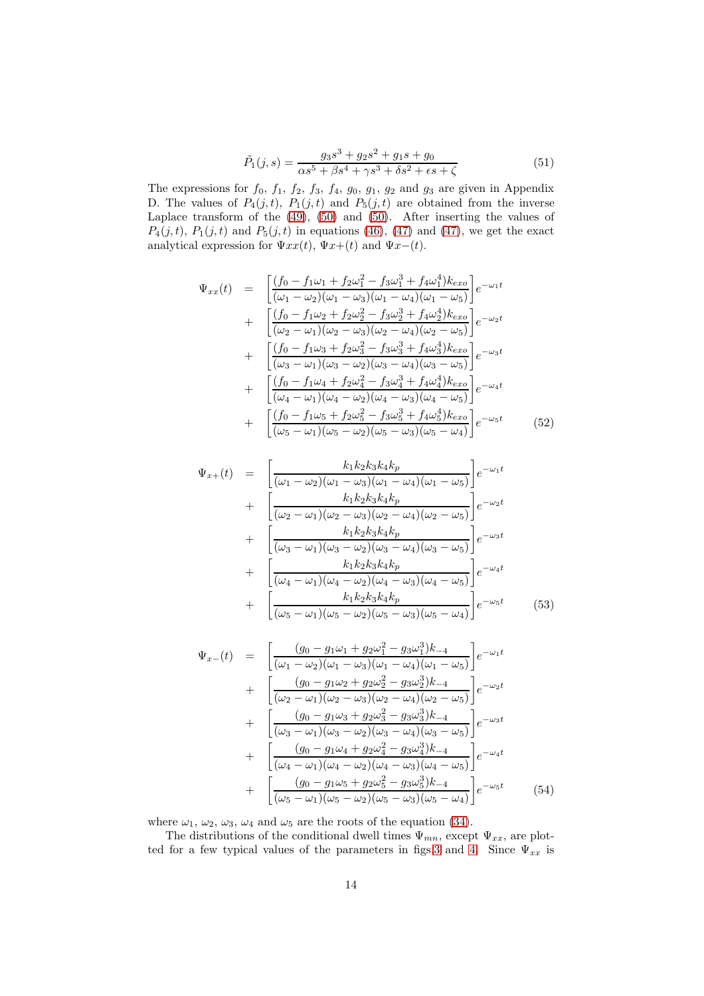$$
\tilde{P}_1(j,s) = \frac{g_3s^3 + g_2s^2 + g_1s + g_0}{\alpha s^5 + \beta s^4 + \gamma s^3 + \delta s^2 + \epsilon s + \zeta}
$$
\n(51)

The expressions for  $f_0$ ,  $f_1$ ,  $f_2$ ,  $f_3$ ,  $f_4$ ,  $g_0$ ,  $g_1$ ,  $g_2$  and  $g_3$  are given in Appendix D. The values of  $P_4(j,t)$ ,  $P_1(j,t)$  and  $P_5(j,t)$  are obtained from the inverse Laplace transform of the  $(49)$ ,  $(50)$  and  $(50)$ . After inserting the values of  $P_4(j,t), P_1(j,t)$  and  $P_5(j,t)$  in equations [\(46\)](#page-12-2), [\(47\)](#page-12-3) and (47), we get the exact analytical expression for  $\Psi xx(t)$ ,  $\Psi x+(t)$  and  $\Psi x-(t)$ .

$$
\Psi_{xx}(t) = \begin{bmatrix}\n\frac{(f_0 - f_1 \omega_1 + f_2 \omega_1^2 - f_3 \omega_1^3 + f_4 \omega_1^4)k_{exo}}{(\omega_1 - \omega_2)(\omega_1 - \omega_3)(\omega_1 - \omega_4)(\omega_1 - \omega_5)}e^{-\omega_1 t} \\
+ \frac{(f_0 - f_1 \omega_2 + f_2 \omega_2^2 - f_3 \omega_2^3 + f_4 \omega_2^4)k_{exo}}{(\omega_2 - \omega_1)(\omega_2 - \omega_3)(\omega_2 - \omega_4)(\omega_2 - \omega_5)}e^{-\omega_2 t} \\
+ \frac{(f_0 - f_1 \omega_3 + f_2 \omega_3^2 - f_3 \omega_3^3 + f_4 \omega_3^4)k_{exo}}{(\omega_3 - \omega_1)(\omega_3 - \omega_2)(\omega_3 - \omega_4)(\omega_3 - \omega_5)}e^{-\omega_3 t} \\
+ \frac{(f_0 - f_1 \omega_4 + f_2 \omega_4^2 - f_3 \omega_4^3 + f_4 \omega_4^4)k_{exo}}{(\omega_4 - \omega_1)(\omega_4 - \omega_2)(\omega_4 - \omega_3)(\omega_4 - \omega_5)}e^{-\omega_4 t} \\
+ \frac{(f_0 - f_1 \omega_5 + f_2 \omega_5^2 - f_3 \omega_5^3 + f_4 \omega_5^4)k_{exo}}{(\omega_5 - \omega_1)(\omega_5 - \omega_2)(\omega_5 - \omega_3)(\omega_5 - \omega_4)}e^{-\omega_5 t}\n\end{bmatrix} \tag{52}
$$

$$
\Psi_{x+}(t) = \left[ \frac{k_1 k_2 k_3 k_4 k_p}{(\omega_1 - \omega_2)(\omega_1 - \omega_3)(\omega_1 - \omega_4)(\omega_1 - \omega_5)} \right] e^{-\omega_1 t} \n+ \left[ \frac{k_1 k_2 k_3 k_4 k_p}{(\omega_2 - \omega_1)(\omega_2 - \omega_3)(\omega_2 - \omega_4)(\omega_2 - \omega_5)} \right] e^{-\omega_2 t} \n+ \left[ \frac{k_1 k_2 k_3 k_4 k_p}{(\omega_3 - \omega_1)(\omega_3 - \omega_2)(\omega_3 - \omega_4)(\omega_3 - \omega_5)} \right] e^{-\omega_3 t} \n+ \left[ \frac{k_1 k_2 k_3 k_4 k_p}{(\omega_4 - \omega_1)(\omega_4 - \omega_2)(\omega_4 - \omega_3)(\omega_4 - \omega_5)} \right] e^{-\omega_4 t} \n+ \left[ \frac{k_1 k_2 k_3 k_4 k_p}{(\omega_5 - \omega_1)(\omega_5 - \omega_2)(\omega_5 - \omega_3)(\omega_5 - \omega_4)} \right] e^{-\omega_5 t}
$$
\n(53)

$$
\Psi_{x-}(t) = \left[ \frac{(g_0 - g_1 \omega_1 + g_2 \omega_1^2 - g_3 \omega_1^3)k_{-4}}{(\omega_1 - \omega_2)(\omega_1 - \omega_3)(\omega_1 - \omega_4)(\omega_1 - \omega_5)} \right] e^{-\omega_1 t} \n+ \left[ \frac{(g_0 - g_1 \omega_2 + g_2 \omega_2^2 - g_3 \omega_2^3)k_{-4}}{(\omega_2 - \omega_1)(\omega_2 - \omega_3)(\omega_2 - \omega_4)(\omega_2 - \omega_5)} \right] e^{-\omega_2 t} \n+ \left[ \frac{(g_0 - g_1 \omega_3 + g_2 \omega_3^2 - g_3 \omega_3^3)k_{-4}}{(\omega_3 - \omega_1)(\omega_3 - \omega_2)(\omega_3 - \omega_4)(\omega_3 - \omega_5)} \right] e^{-\omega_3 t} \n+ \left[ \frac{(g_0 - g_1 \omega_4 + g_2 \omega_4^2 - g_3 \omega_4^3)k_{-4}}{(\omega_4 - \omega_1)(\omega_4 - \omega_2)(\omega_4 - \omega_3)(\omega_4 - \omega_5)} \right] e^{-\omega_4 t} \n+ \left[ \frac{(g_0 - g_1 \omega_5 + g_2 \omega_5^2 - g_3 \omega_5^3)k_{-4}}{(\omega_5 - \omega_1)(\omega_5 - \omega_2)(\omega_5 - \omega_3)(\omega_5 - \omega_4)} \right] e^{-\omega_5 t}
$$
\n(54)

where  $\omega_1$ ,  $\omega_2$ ,  $\omega_3$ ,  $\omega_4$  and  $\omega_5$  are the roots of the equation [\(34\)](#page-10-0).

The distributions of the conditional dwell times  $\Psi_{mn}$ , except  $\Psi_{xx}$ , are plot-ted for a few typical values of the parameters in figs[.3](#page-9-0) and [4.](#page-9-1) Since  $\Psi_{xx}$  is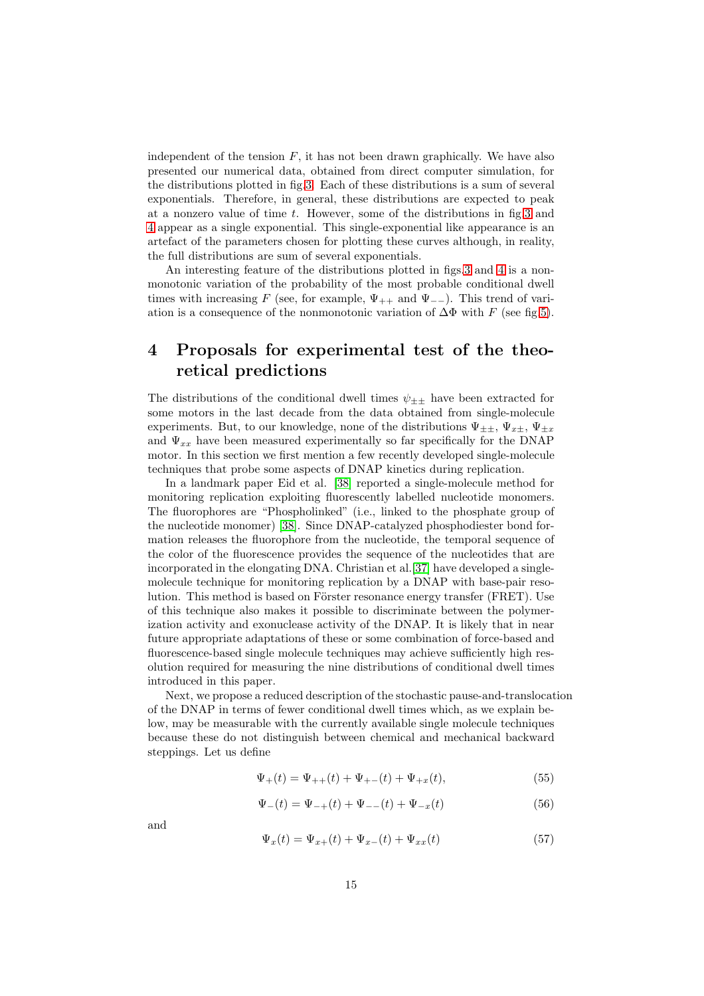independent of the tension  $F$ , it has not been drawn graphically. We have also presented our numerical data, obtained from direct computer simulation, for the distributions plotted in fig[.3.](#page-9-0) Each of these distributions is a sum of several exponentials. Therefore, in general, these distributions are expected to peak at a nonzero value of time  $t$ . However, some of the distributions in fig. 3 and [4](#page-9-1) appear as a single exponential. This single-exponential like appearance is an artefact of the parameters chosen for plotting these curves although, in reality, the full distributions are sum of several exponentials.

An interesting feature of the distributions plotted in figs[.3](#page-9-0) and [4](#page-9-1) is a nonmonotonic variation of the probability of the most probable conditional dwell times with increasing F (see, for example,  $\Psi_{++}$  and  $\Psi_{--}$ ). This trend of variation is a consequence of the nonmonotonic variation of  $\Delta\Phi$  with F (see fig[.5\)](#page-18-0).

### 4 Proposals for experimental test of the theoretical predictions

The distributions of the conditional dwell times  $\psi_{\pm\pm}$  have been extracted for some motors in the last decade from the data obtained from single-molecule experiments. But, to our knowledge, none of the distributions  $\Psi_{\pm\pm}$ ,  $\Psi_{x\pm}$ ,  $\Psi_{\pm x}$ and  $\Psi_{xx}$  have been measured experimentally so far specifically for the DNAP motor. In this section we first mention a few recently developed single-molecule techniques that probe some aspects of DNAP kinetics during replication.

In a landmark paper Eid et al. [\[38\]](#page-24-0) reported a single-molecule method for monitoring replication exploiting fluorescently labelled nucleotide monomers. The fluorophores are "Phospholinked" (i.e., linked to the phosphate group of the nucleotide monomer) [\[38\]](#page-24-0). Since DNAP-catalyzed phosphodiester bond formation releases the fluorophore from the nucleotide, the temporal sequence of the color of the fluorescence provides the sequence of the nucleotides that are incorporated in the elongating DNA. Christian et al.[\[37\]](#page-23-20) have developed a singlemolecule technique for monitoring replication by a DNAP with base-pair resolution. This method is based on Förster resonance energy transfer (FRET). Use of this technique also makes it possible to discriminate between the polymerization activity and exonuclease activity of the DNAP. It is likely that in near future appropriate adaptations of these or some combination of force-based and fluorescence-based single molecule techniques may achieve sufficiently high resolution required for measuring the nine distributions of conditional dwell times introduced in this paper.

Next, we propose a reduced description of the stochastic pause-and-translocation of the DNAP in terms of fewer conditional dwell times which, as we explain below, may be measurable with the currently available single molecule techniques because these do not distinguish between chemical and mechanical backward steppings. Let us define

$$
\Psi_{+}(t) = \Psi_{++}(t) + \Psi_{+-}(t) + \Psi_{+x}(t), \tag{55}
$$

$$
\Psi_{-}(t) = \Psi_{-+}(t) + \Psi_{--}(t) + \Psi_{-x}(t)
$$
\n(56)

and

$$
\Psi_x(t) = \Psi_{x+}(t) + \Psi_{x-}(t) + \Psi_{xx}(t)
$$
\n(57)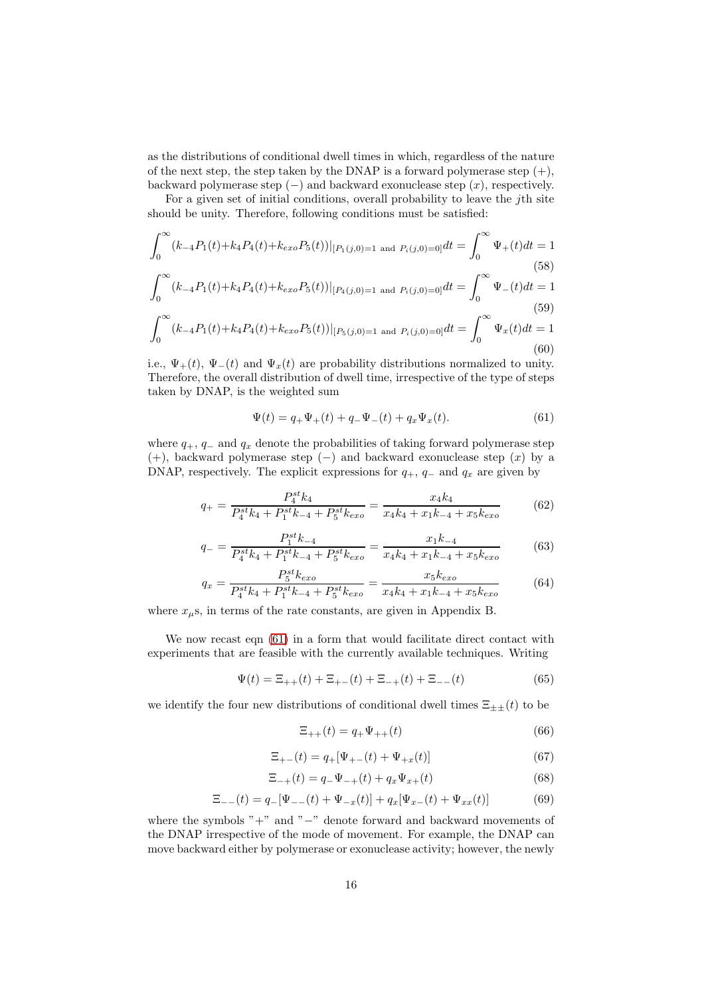as the distributions of conditional dwell times in which, regardless of the nature of the next step, the step taken by the DNAP is a forward polymerase step  $(+)$ , backward polymerase step  $(-)$  and backward exonuclease step  $(x)$ , respectively.

For a given set of initial conditions, overall probability to leave the jth site should be unity. Therefore, following conditions must be satisfied:

$$
\int_0^\infty (k_{-4}P_1(t) + k_4P_4(t) + k_{exo}P_5(t))|_{[P_1(j,0)=1 \text{ and } P_i(j,0)=0]}dt = \int_0^\infty \Psi_+(t)dt = 1
$$
\n(58)\n
$$
\int_0^\infty (k_{-4}P_1(t) + k_4P_4(t) + k_{exo}P_5(t))|_{[P_4(j,0)=1 \text{ and } P_i(j,0)=0]}dt = \int_0^\infty \Psi_-(t)dt = 1
$$
\n(59)\n
$$
\int_0^\infty (k_{-4}P_1(t) + k_4P_4(t) + k_{exo}P_5(t))|_{[P_5(j,0)=1 \text{ and } P_i(j,0)=0]}dt = \int_0^\infty \Psi_x(t)dt = 1
$$
\n(60)

i.e.,  $\Psi_+(t)$ ,  $\Psi_-(t)$  and  $\Psi_x(t)$  are probability distributions normalized to unity. Therefore, the overall distribution of dwell time, irrespective of the type of steps taken by DNAP, is the weighted sum

<span id="page-15-0"></span>
$$
\Psi(t) = q_+ \Psi_+(t) + q_- \Psi_-(t) + q_x \Psi_x(t). \tag{61}
$$

where  $q_+$ ,  $q_-$  and  $q_x$  denote the probabilities of taking forward polymerase step (+), backward polymerase step  $(-)$  and backward exonuclease step  $(x)$  by a DNAP, respectively. The explicit expressions for  $q_+$ ,  $q_-$  and  $q_x$  are given by

<span id="page-15-1"></span>
$$
q_{+} = \frac{P_4^{st}k_4}{P_4^{st}k_4 + P_1^{st}k_{-4} + P_5^{st}k_{exo}} = \frac{x_4k_4}{x_4k_4 + x_1k_{-4} + x_5k_{exo}}\tag{62}
$$

<span id="page-15-2"></span>
$$
q_{-} = \frac{P_1^{st}k_{-4}}{P_4^{st}k_4 + P_1^{st}k_{-4} + P_5^{st}k_{exo}} = \frac{x_1k_{-4}}{x_4k_4 + x_1k_{-4} + x_5k_{exo}}\tag{63}
$$

<span id="page-15-3"></span>
$$
q_x = \frac{P_5^{st} k_{exo}}{P_4^{st} k_4 + P_1^{st} k_{-4} + P_5^{st} k_{exo}} = \frac{x_5 k_{exo}}{x_4 k_4 + x_1 k_{-4} + x_5 k_{exo}}\tag{64}
$$

where  $x_{\mu}$ s, in terms of the rate constants, are given in Appendix B.

We now recast eqn  $(61)$  in a form that would facilitate direct contact with experiments that are feasible with the currently available techniques. Writing

$$
\Psi(t) = \Xi_{++}(t) + \Xi_{+-}(t) + \Xi_{-+}(t) + \Xi_{--}(t) \tag{65}
$$

we identify the four new distributions of conditional dwell times  $\Xi_{\pm\pm}(t)$  to be

<span id="page-15-4"></span>
$$
\Xi_{++}(t) = q_+ \Psi_{++}(t) \tag{66}
$$

$$
\Xi_{+-}(t) = q_+[\Psi_{+-}(t) + \Psi_{+x}(t)]\tag{67}
$$

$$
\Xi_{-+}(t) = q_- \Psi_{-+}(t) + q_x \Psi_{x+}(t) \tag{68}
$$

<span id="page-15-5"></span>
$$
\Xi_{--}(t) = q_-[\Psi_{--}(t) + \Psi_{-x}(t)] + q_x[\Psi_{x-}(t) + \Psi_{xx}(t)] \tag{69}
$$

where the symbols "+" and "−" denote forward and backward movements of the DNAP irrespective of the mode of movement. For example, the DNAP can move backward either by polymerase or exonuclease activity; however, the newly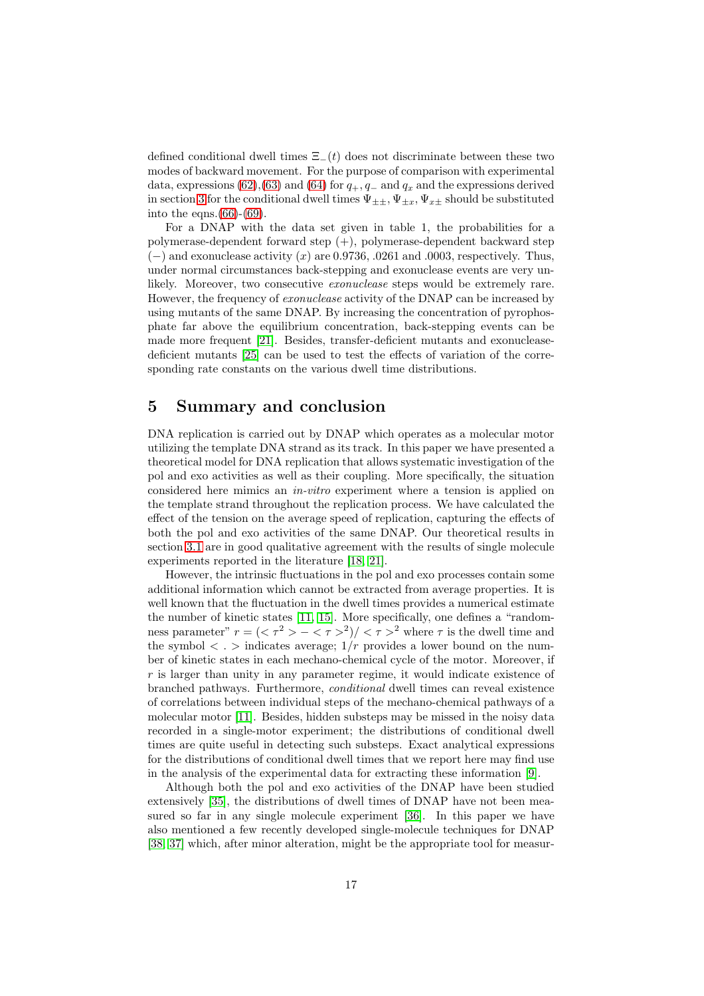defined conditional dwell times  $\Xi_-(t)$  does not discriminate between these two modes of backward movement. For the purpose of comparison with experimental data, expressions [\(62\)](#page-15-1),[\(63\)](#page-15-2) and [\(64\)](#page-15-3) for  $q_+, q_-$  and  $q_x$  and the expressions derived in section [3](#page-4-2) for the conditional dwell times  $\Psi_{\pm\pm}$ ,  $\Psi_{\pm x}$ ,  $\Psi_{x\pm}$  should be substituted into the eqns. $(66)-(69)$  $(66)-(69)$  $(66)-(69)$ .

For a DNAP with the data set given in table 1, the probabilities for a polymerase-dependent forward step (+), polymerase-dependent backward step  $(-)$  and exonuclease activity  $(x)$  are 0.9736, .0261 and .0003, respectively. Thus, under normal circumstances back-stepping and exonuclease events are very unlikely. Moreover, two consecutive *exonuclease* steps would be extremely rare. However, the frequency of *exonuclease* activity of the DNAP can be increased by using mutants of the same DNAP. By increasing the concentration of pyrophosphate far above the equilibrium concentration, back-stepping events can be made more frequent [\[21\]](#page-23-6). Besides, transfer-deficient mutants and exonucleasedeficient mutants [\[25\]](#page-23-10) can be used to test the effects of variation of the corresponding rate constants on the various dwell time distributions.

### 5 Summary and conclusion

DNA replication is carried out by DNAP which operates as a molecular motor utilizing the template DNA strand as its track. In this paper we have presented a theoretical model for DNA replication that allows systematic investigation of the pol and exo activities as well as their coupling. More specifically, the situation considered here mimics an in-vitro experiment where a tension is applied on the template strand throughout the replication process. We have calculated the effect of the tension on the average speed of replication, capturing the effects of both the pol and exo activities of the same DNAP. Our theoretical results in section [3.1](#page-4-3) are in good qualitative agreement with the results of single molecule experiments reported in the literature [\[18,](#page-23-3) [21\]](#page-23-6).

However, the intrinsic fluctuations in the pol and exo processes contain some additional information which cannot be extracted from average properties. It is well known that the fluctuation in the dwell times provides a numerical estimate the number of kinetic states [\[11,](#page-22-10) [15\]](#page-23-0). More specifically, one defines a "randomness parameter"  $r = (\langle \tau^2 \rangle - \langle \tau \rangle)^2 / (\langle \tau \rangle)^2$  where  $\tau$  is the dwell time and the symbol  $\langle \cdot \rangle$  indicates average;  $1/r$  provides a lower bound on the number of kinetic states in each mechano-chemical cycle of the motor. Moreover, if  $r$  is larger than unity in any parameter regime, it would indicate existence of branched pathways. Furthermore, conditional dwell times can reveal existence of correlations between individual steps of the mechano-chemical pathways of a molecular motor [\[11\]](#page-22-10). Besides, hidden substeps may be missed in the noisy data recorded in a single-motor experiment; the distributions of conditional dwell times are quite useful in detecting such substeps. Exact analytical expressions for the distributions of conditional dwell times that we report here may find use in the analysis of the experimental data for extracting these information [\[9\]](#page-22-8).

Although both the pol and exo activities of the DNAP have been studied extensively [\[35\]](#page-23-21), the distributions of dwell times of DNAP have not been measured so far in any single molecule experiment [\[36\]](#page-23-22). In this paper we have also mentioned a few recently developed single-molecule techniques for DNAP [\[38,](#page-24-0) [37\]](#page-23-20) which, after minor alteration, might be the appropriate tool for measur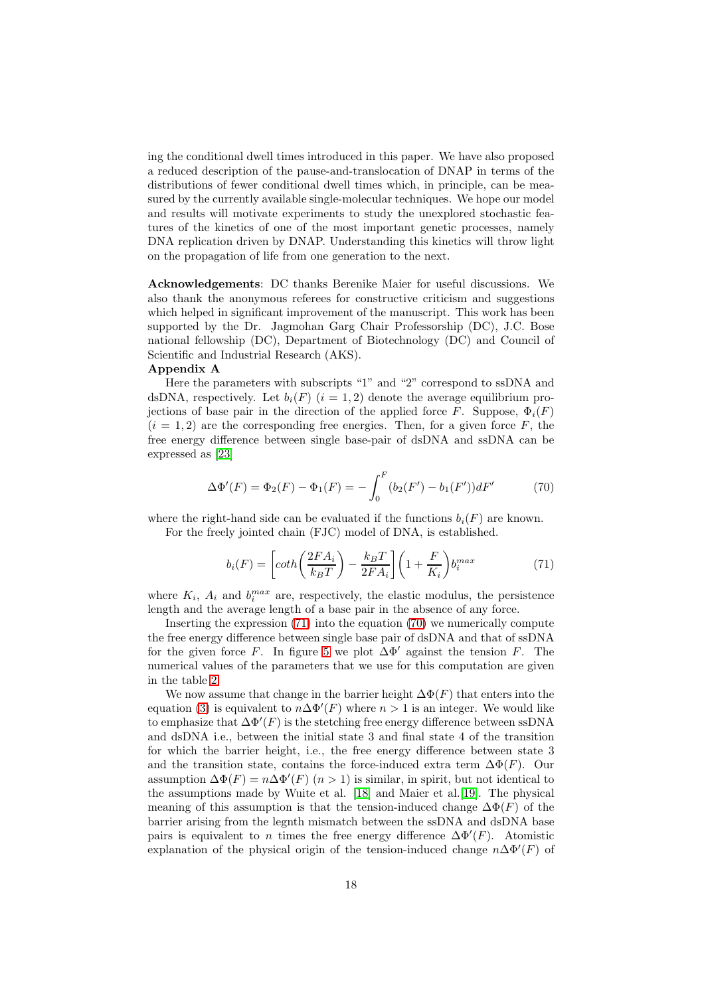ing the conditional dwell times introduced in this paper. We have also proposed a reduced description of the pause-and-translocation of DNAP in terms of the distributions of fewer conditional dwell times which, in principle, can be measured by the currently available single-molecular techniques. We hope our model and results will motivate experiments to study the unexplored stochastic features of the kinetics of one of the most important genetic processes, namely DNA replication driven by DNAP. Understanding this kinetics will throw light on the propagation of life from one generation to the next.

Acknowledgements: DC thanks Berenike Maier for useful discussions. We also thank the anonymous referees for constructive criticism and suggestions which helped in significant improvement of the manuscript. This work has been supported by the Dr. Jagmohan Garg Chair Professorship (DC), J.C. Bose national fellowship (DC), Department of Biotechnology (DC) and Council of Scientific and Industrial Research (AKS).

#### Appendix A

Here the parameters with subscripts "1" and "2" correspond to ssDNA and dsDNA, respectively. Let  $b_i(F)$   $(i = 1, 2)$  denote the average equilibrium projections of base pair in the direction of the applied force F. Suppose,  $\Phi_i(F)$  $(i = 1, 2)$  are the corresponding free energies. Then, for a given force F, the free energy difference between single base-pair of dsDNA and ssDNA can be expressed as [\[23\]](#page-23-8)

<span id="page-17-1"></span>
$$
\Delta\Phi'(F) = \Phi_2(F) - \Phi_1(F) = -\int_0^F (b_2(F') - b_1(F'))dF'
$$
 (70)

where the right-hand side can be evaluated if the functions  $b_i(F)$  are known. For the freely jointed chain (FJC) model of DNA, is established.

<span id="page-17-0"></span>
$$
b_i(F) = \left[ \coth\left(\frac{2FA_i}{k_B T}\right) - \frac{k_B T}{2FA_i} \right] \left(1 + \frac{F}{K_i}\right) b_i^{max} \tag{71}
$$

where  $K_i$ ,  $A_i$  and  $b_i^{max}$  are, respectively, the elastic modulus, the persistence length and the average length of a base pair in the absence of any force.

Inserting the expression [\(71\)](#page-17-0) into the equation [\(70\)](#page-17-1) we numerically compute the free energy difference between single base pair of dsDNA and that of ssDNA for the given force F. In figure [5](#page-18-0) we plot  $\Delta\Phi'$  against the tension F. The numerical values of the parameters that we use for this computation are given in the table [2.](#page-18-1)

We now assume that change in the barrier height  $\Delta \Phi(F)$  that enters into the equation [\(3\)](#page-4-1) is equivalent to  $n\Delta\Phi'(F)$  where  $n>1$  is an integer. We would like to emphasize that  $\Delta \Phi'(F)$  is the stetching free energy difference between ssDNA and dsDNA i.e., between the initial state 3 and final state 4 of the transition for which the barrier height, i.e., the free energy difference between state 3 and the transition state, contains the force-induced extra term  $\Delta \Phi(F)$ . Our assumption  $\Delta \Phi(F) = n \Delta \Phi'(F)$   $(n > 1)$  is similar, in spirit, but not identical to the assumptions made by Wuite et al. [\[18\]](#page-23-3) and Maier et al.[\[19\]](#page-23-4). The physical meaning of this assumption is that the tension-induced change  $\Delta \Phi(F)$  of the barrier arising from the legnth mismatch between the ssDNA and dsDNA base pairs is equivalent to n times the free energy difference  $\Delta\Phi'(F)$ . Atomistic explanation of the physical origin of the tension-induced change  $n\Delta\Phi'(F)$  of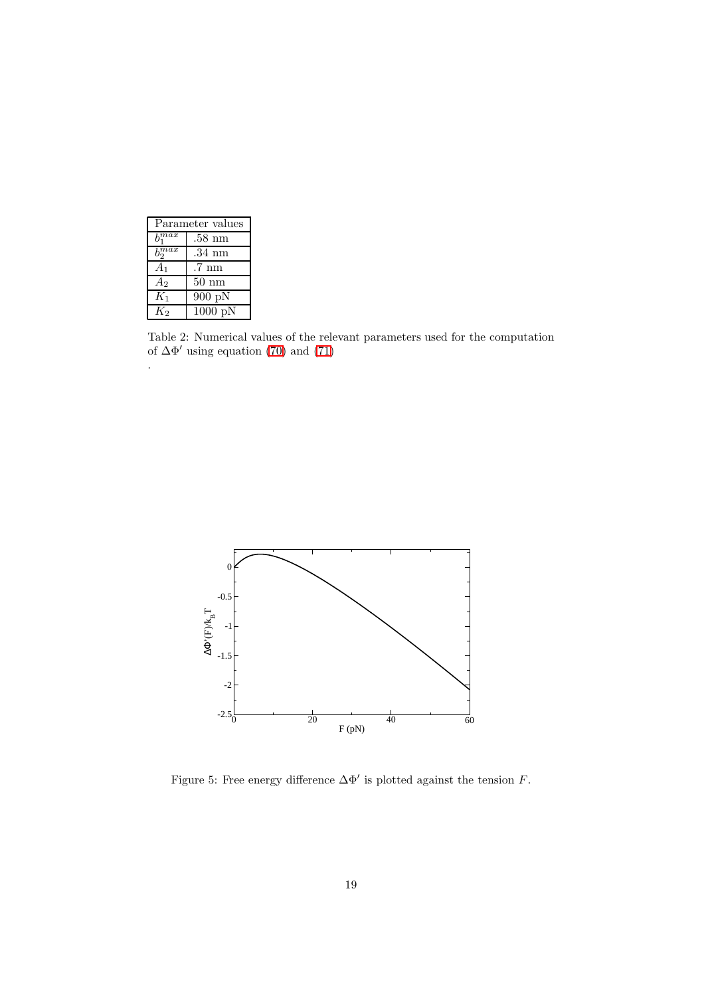| Parameter values          |                  |
|---------------------------|------------------|
| $\overline{b}$ <i>max</i> | $.58\;{\rm nm}$  |
| $\overline{b_0^{max}}$    | .34 nm           |
| A1                        | .7 nm            |
| $A_2$                     | $50 \text{ nm}$  |
| $K_1$                     | 900 pN           |
| K2                        | $1000\text{ pN}$ |

.

<span id="page-18-1"></span>Table 2: Numerical values of the relevant parameters used for the computation of  $\Delta\Phi'$  using equation [\(70\)](#page-17-1) and [\(71\)](#page-17-0)



<span id="page-18-0"></span>Figure 5: Free energy difference  $\Delta\Phi'$  is plotted against the tension F.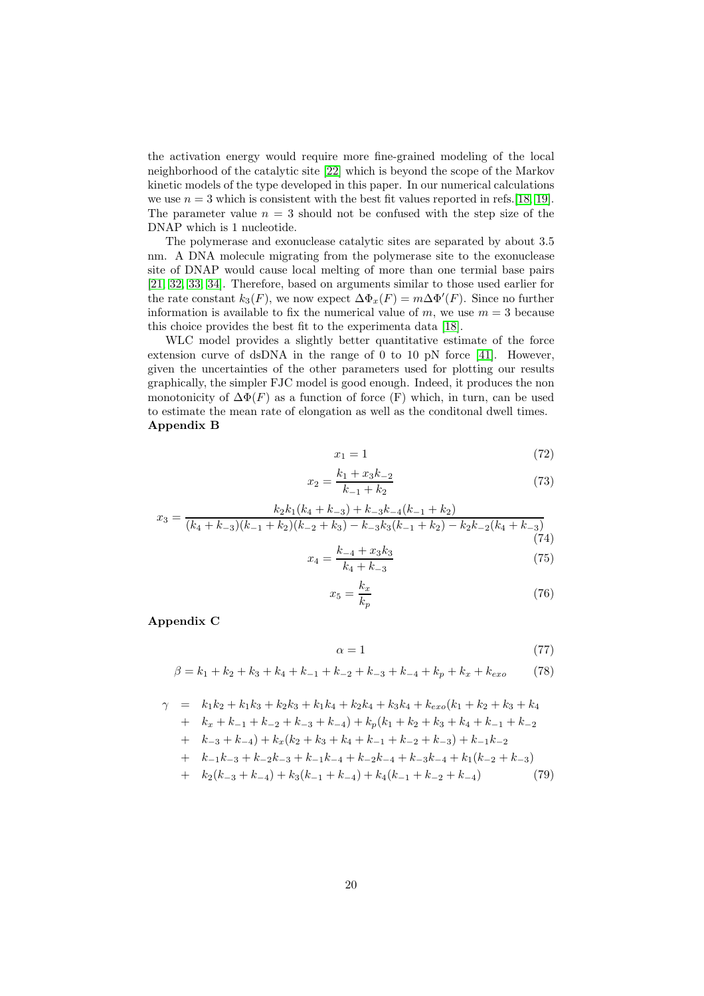the activation energy would require more fine-grained modeling of the local neighborhood of the catalytic site [\[22\]](#page-23-7) which is beyond the scope of the Markov kinetic models of the type developed in this paper. In our numerical calculations we use  $n = 3$  which is consistent with the best fit values reported in refs. [\[18,](#page-23-3) [19\]](#page-23-4). The parameter value  $n = 3$  should not be confused with the step size of the DNAP which is 1 nucleotide.

The polymerase and exonuclease catalytic sites are separated by about 3.5 nm. A DNA molecule migrating from the polymerase site to the exonuclease site of DNAP would cause local melting of more than one termial base pairs [\[21,](#page-23-6) [32,](#page-23-17) [33,](#page-23-18) [34\]](#page-23-19). Therefore, based on arguments similar to those used earlier for the rate constant  $k_3(F)$ , we now expect  $\Delta \Phi_x(F) = m \Delta \Phi'(F)$ . Since no further information is available to fix the numerical value of m, we use  $m = 3$  because this choice provides the best fit to the experimenta data [\[18\]](#page-23-3).

WLC model provides a slightly better quantitative estimate of the force extension curve of dsDNA in the range of 0 to 10 pN force [\[41\]](#page-24-1). However, given the uncertainties of the other parameters used for plotting our results graphically, the simpler FJC model is good enough. Indeed, it produces the non monotonicity of  $\Delta \Phi(F)$  as a function of force (F) which, in turn, can be used to estimate the mean rate of elongation as well as the conditonal dwell times. Appendix B

$$
x_1 = 1 \tag{72}
$$

$$
x_2 = \frac{k_1 + x_3 k_{-2}}{k_{-1} + k_2} \tag{73}
$$

$$
x_3 = \frac{k_2k_1(k_4 + k_{-3}) + k_{-3}k_{-4}(k_{-1} + k_2)}{(k_4 + k_{-3})(k_{-1} + k_2)(k_{-2} + k_3) - k_{-3}k_3(k_{-1} + k_2) - k_2k_{-2}(k_4 + k_{-3})}
$$
\n
$$
k_{-4} + x_3k_3
$$
\n(75)

$$
x_4 = \frac{k_{-4} + x_3 \kappa_3}{k_4 + k_{-3}}\tag{75}
$$

$$
x_5 = \frac{k_x}{k_p} \tag{76}
$$

Appendix C

$$
\alpha = 1\tag{77}
$$

$$
\beta = k_1 + k_2 + k_3 + k_4 + k_{-1} + k_{-2} + k_{-3} + k_{-4} + k_p + k_x + k_{exo}
$$
 (78)

$$
\gamma = k_1k_2 + k_1k_3 + k_2k_3 + k_1k_4 + k_2k_4 + k_3k_4 + k_{exo}(k_1 + k_2 + k_3 + k_4 + k_x + k_{-1} + k_{-2} + k_{-3} + k_{-4}) + k_p(k_1 + k_2 + k_3 + k_4 + k_{-1} + k_{-2} + k_{-3} + k_{-4}) + k_x(k_2 + k_3 + k_4 + k_{-1} + k_{-2} + k_{-3}) + k_{-1}k_{-2} + k_{-1}k_{-3} + k_{-2}k_{-3} + k_{-1}k_{-4} + k_{-2}k_{-4} + k_{-3}k_{-4} + k_1(k_{-2} + k_{-3}) + k_2(k_{-3} + k_{-4}) + k_3(k_{-1} + k_{-4}) + k_4(k_{-1} + k_{-2} + k_{-4}) \tag{79}
$$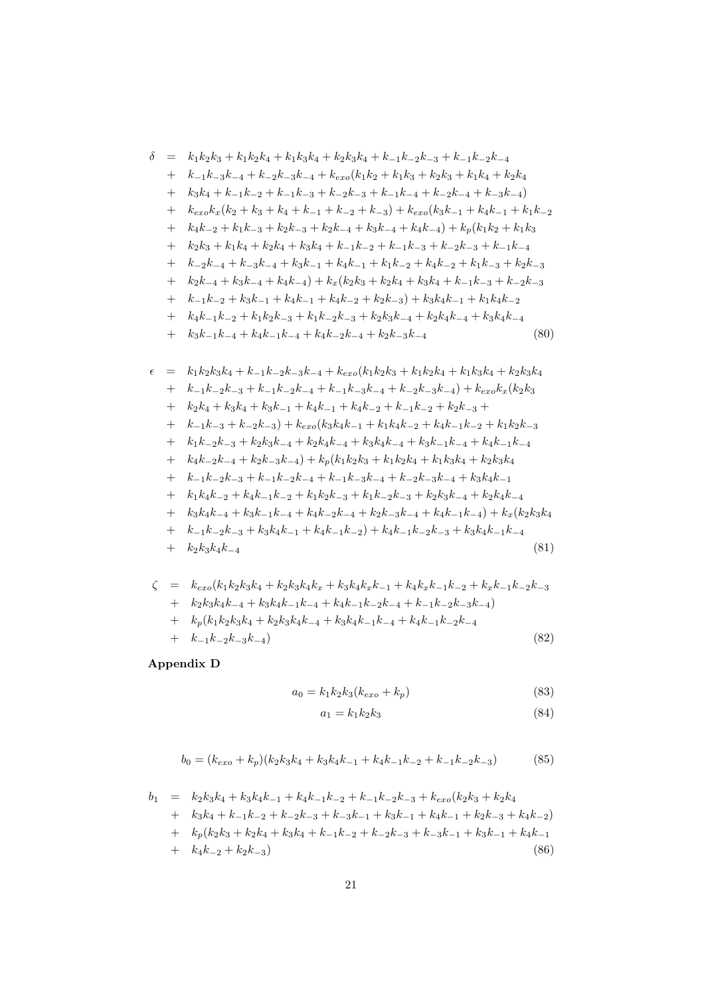$$
\delta = k_1k_2k_3 + k_1k_2k_4 + k_1k_3k_4 + k_2k_3k_4 + k_{-1}k_{-2}k_{-3} + k_{-1}k_{-2}k_{-4} \n+ k_{-1}k_{-3}k_{-4} + k_{-2}k_{-3}k_{-4} + k_{\alpha\sigma}(k_1k_2 + k_1k_3 + k_2k_3 + k_1k_4 + k_2k_4 \n+ k_3k_4 + k_{-1}k_{-2} + k_{-1}k_{-3} + k_{-2}k_{-3} + k_{-1}k_{-4} + k_{-2}k_{-4} + k_{-3}k_{-4}) \n+ k_{\alpha\sigma}k_x(k_2 + k_3 + k_4 + k_{-1} + k_{-2} + k_{-3}) + k_{\alpha\sigma}(k_3k_{-1} + k_4k_{-1} + k_1k_{-2} \n+ k_4k_{-2} + k_1k_{-3} + k_2k_{-3} + k_2k_{-4} + k_3k_{-4} + k_4k_{-4}) + k_p(k_1k_2 + k_1k_3 \n+ k_2k_3 + k_1k_4 + k_2k_4 + k_3k_4 + k_{-1}k_{-2} + k_{-1}k_{-3} + k_{-2}k_{-3} + k_{-1}k_{-4} \n+ k_{-2}k_{-4} + k_{-3}k_{-4} + k_3k_{-1} + k_4k_{-1} + k_1k_{-2} + k_4k_{-2} + k_1k_{-3} + k_2k_{-3} \n+ k_1k_{-2} + k_3k_{-1} + k_4k_{-1} + k_4k_{-1} + k_1k_{-2} + k_3k_4 + k_{-1}k_{-3} + k_{-2}k_{-3} \n+ k_{-1}k_{-2} + k_3k_{-1} + k_4k_{-1} + k_4k_{-2} + k_2k_{-3}) + k_3k_4k_{-1} + k_1k_4k_{-2} \n+ k_3k_{-1}k_{-4} + k_4k_{-1}k_{-4} + k_4k_{-2}k_{-3} + k_2k_3k_{-4} + k_2k_4k_{-4} +
$$

+ 
$$
k_{-1}k_{-2}k_{-3} + k_3k_4k_{-1} + k_4k_{-1}k_{-2} + k_4k_{-1}k_{-2}k_{-3} + k_3k_4k_{-1}k_{-4}
$$
  
+  $k_2k_3k_4k_{-4}$  (81)

$$
\zeta = k_{exo}(k_1k_2k_3k_4 + k_2k_3k_4k_x + k_3k_4k_xk_{-1} + k_4k_xk_{-1}k_{-2} + k_xk_{-1}k_{-2}k_{-3} + k_2k_3k_4k_{-4} + k_3k_4k_{-1}k_{-4} + k_4k_{-1}k_{-2}k_{-4} + k_{-1}k_{-2}k_{-3}k_{-4}) + k_p(k_1k_2k_3k_4 + k_2k_3k_4k_{-4} + k_3k_4k_{-1}k_{-4} + k_4k_{-1}k_{-2}k_{-4} + k_{-1}k_{-2}k_{-3}k_{-4})
$$
\n(82)

Appendix D

$$
a_0 = k_1 k_2 k_3 (k_{exo} + k_p)
$$
\n(83)

$$
a_1 = k_1 k_2 k_3 \tag{84}
$$

$$
b_0 = (k_{exo} + k_p)(k_2k_3k_4 + k_3k_4k_{-1} + k_4k_{-1}k_{-2} + k_{-1}k_{-2}k_{-3})
$$
(85)

$$
b_{1} = k_{2}k_{3}k_{4} + k_{3}k_{4}k_{-1} + k_{4}k_{-1}k_{-2} + k_{-1}k_{-2}k_{-3} + k_{exo}(k_{2}k_{3} + k_{2}k_{4} + k_{3}k_{4} + k_{-1}k_{-2} + k_{-2}k_{-3} + k_{-3}k_{-1} + k_{3}k_{-1} + k_{4}k_{-1} + k_{2}k_{-3} + k_{4}k_{-2})
$$
  
+ 
$$
k_{p}(k_{2}k_{3} + k_{2}k_{4} + k_{3}k_{4} + k_{-1}k_{-2} + k_{-2}k_{-3} + k_{-3}k_{-1} + k_{3}k_{-1} + k_{4}k_{-1} + k_{4}k_{-2} + k_{2}k_{-3})
$$
(86)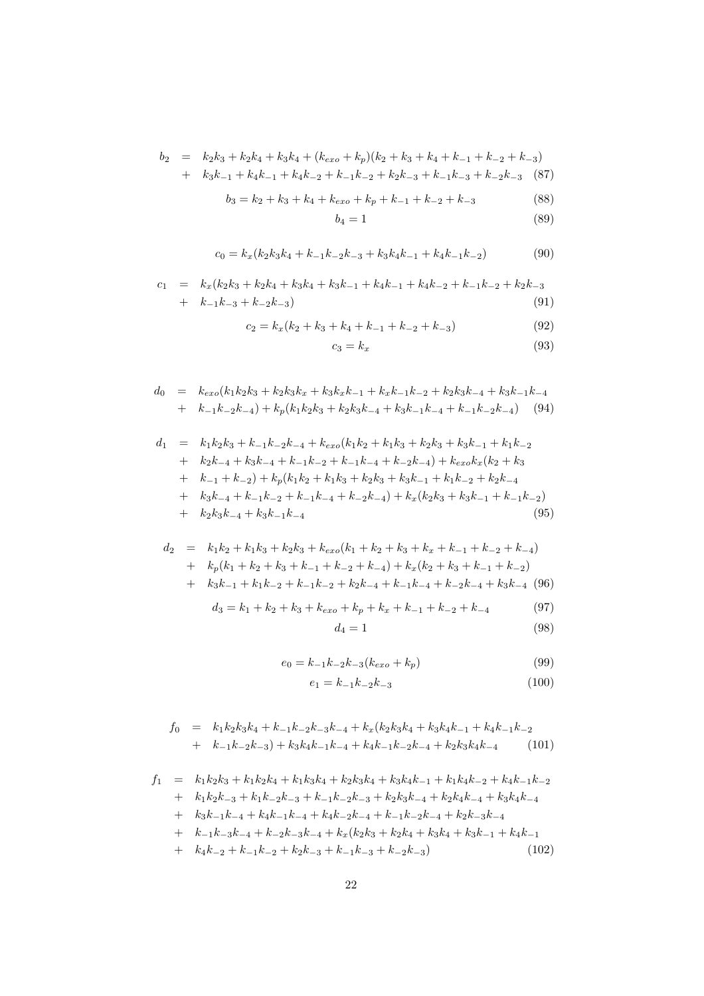$$
b_2 = k_2k_3 + k_2k_4 + k_3k_4 + (k_{exo} + k_p)(k_2 + k_3 + k_4 + k_{-1} + k_{-2} + k_{-3})
$$
  
+  $k_3k_{-1} + k_4k_{-1} + k_4k_{-2} + k_{-1}k_{-2} + k_2k_{-3} + k_{-1}k_{-3} + k_{-2}k_{-3}$  (87)

$$
b_3 = k_2 + k_3 + k_4 + k_{exo} + k_p + k_{-1} + k_{-2} + k_{-3}
$$
 (88)

$$
b_4 = 1 \tag{89}
$$

$$
c_0 = k_x(k_2k_3k_4 + k_{-1}k_{-2}k_{-3} + k_3k_4k_{-1} + k_4k_{-1}k_{-2})
$$
\n(90)

$$
c_1 = k_x(k_2k_3 + k_2k_4 + k_3k_4 + k_3k_{-1} + k_4k_{-1} + k_4k_{-2} + k_{-1}k_{-2} + k_2k_{-3} + k_{-1}k_{-3} + k_{-2}k_{-3})
$$
\n(91)

$$
c_2 = k_x(k_2 + k_3 + k_4 + k_{-1} + k_{-2} + k_{-3})
$$
\n(92)

$$
c_3 = k_x \tag{93}
$$

$$
d_0 = k_{exo}(k_1k_2k_3 + k_2k_3k_x + k_3k_xk_{-1} + k_xk_{-1}k_{-2} + k_2k_3k_{-4} + k_3k_{-1}k_{-4}
$$
  
+  $k_{-1}k_{-2}k_{-4}$ ) +  $k_p(k_1k_2k_3 + k_2k_3k_{-4} + k_3k_{-1}k_{-4} + k_{-1}k_{-2}k_{-4})$  (94)

$$
d_1 = k_1k_2k_3 + k_{-1}k_{-2}k_{-4} + k_{exo}(k_1k_2 + k_1k_3 + k_2k_3 + k_3k_{-1} + k_1k_{-2} + k_2k_{-4} + k_3k_{-4} + k_{-1}k_{-2} + k_{-1}k_{-4} + k_{-2}k_{-4}) + k_{exo}k_x(k_2 + k_3 + k_{-1} + k_{-2}) + k_p(k_1k_2 + k_1k_3 + k_2k_3 + k_3k_{-1} + k_1k_{-2} + k_2k_{-4} + k_3k_{-4} + k_{-1}k_{-2} + k_{-1}k_{-4} + k_{-2}k_{-4}) + k_x(k_2k_3 + k_3k_{-1} + k_{-1}k_{-2}) + k_2k_3k_{-4} + k_3k_{-1}k_{-4}
$$
 (95)

$$
d_2 = k_1k_2 + k_1k_3 + k_2k_3 + k_{exo}(k_1 + k_2 + k_3 + k_x + k_{-1} + k_{-2} + k_{-4})
$$
  
+ 
$$
k_p(k_1 + k_2 + k_3 + k_{-1} + k_{-2} + k_{-4}) + k_x(k_2 + k_3 + k_{-1} + k_{-2})
$$
  
+ 
$$
k_3k_{-1} + k_1k_{-2} + k_{-1}k_{-2} + k_2k_{-4} + k_{-1}k_{-4} + k_{-2}k_{-4} + k_3k_{-4}
$$
(96)

$$
d_3 = k_1 + k_2 + k_3 + k_{exo} + k_p + k_x + k_{-1} + k_{-2} + k_{-4}
$$
 (97)

$$
d_4 = 1 \tag{98}
$$

$$
e_0 = k_{-1}k_{-2}k_{-3}(k_{exo} + k_p)
$$
\n(99)

$$
e_1 = k_{-1}k_{-2}k_{-3} \tag{100}
$$

$$
f_0 = k_1k_2k_3k_4 + k_{-1}k_{-2}k_{-3}k_{-4} + k_x(k_2k_3k_4 + k_3k_4k_{-1} + k_4k_{-1}k_{-2} + k_{-1}k_{-2}k_{-3}) + k_3k_4k_{-1}k_{-4} + k_4k_{-1}k_{-2}k_{-4} + k_2k_3k_4k_{-4}
$$
 (101)

$$
f_{1} = k_{1}k_{2}k_{3} + k_{1}k_{2}k_{4} + k_{1}k_{3}k_{4} + k_{2}k_{3}k_{4} + k_{3}k_{4}k_{-1} + k_{1}k_{4}k_{-2} + k_{4}k_{-1}k_{-2}
$$
  
+  $k_{1}k_{2}k_{-3} + k_{1}k_{-2}k_{-3} + k_{-1}k_{-2}k_{-3} + k_{2}k_{3}k_{-4} + k_{2}k_{4}k_{-4} + k_{3}k_{4}k_{-4}$   
+  $k_{3}k_{-1}k_{-4} + k_{4}k_{-1}k_{-4} + k_{4}k_{-2}k_{-4} + k_{-1}k_{-2}k_{-4} + k_{2}k_{-3}k_{-4}$   
+  $k_{-1}k_{-3}k_{-4} + k_{-2}k_{-3}k_{-4} + k_{x}(k_{2}k_{3} + k_{2}k_{4} + k_{3}k_{4} + k_{3}k_{-1} + k_{4}k_{-1}$   
+  $k_{4}k_{-2} + k_{-1}k_{-2} + k_{2}k_{-3} + k_{-1}k_{-3} + k_{-2}k_{-3})$  (102)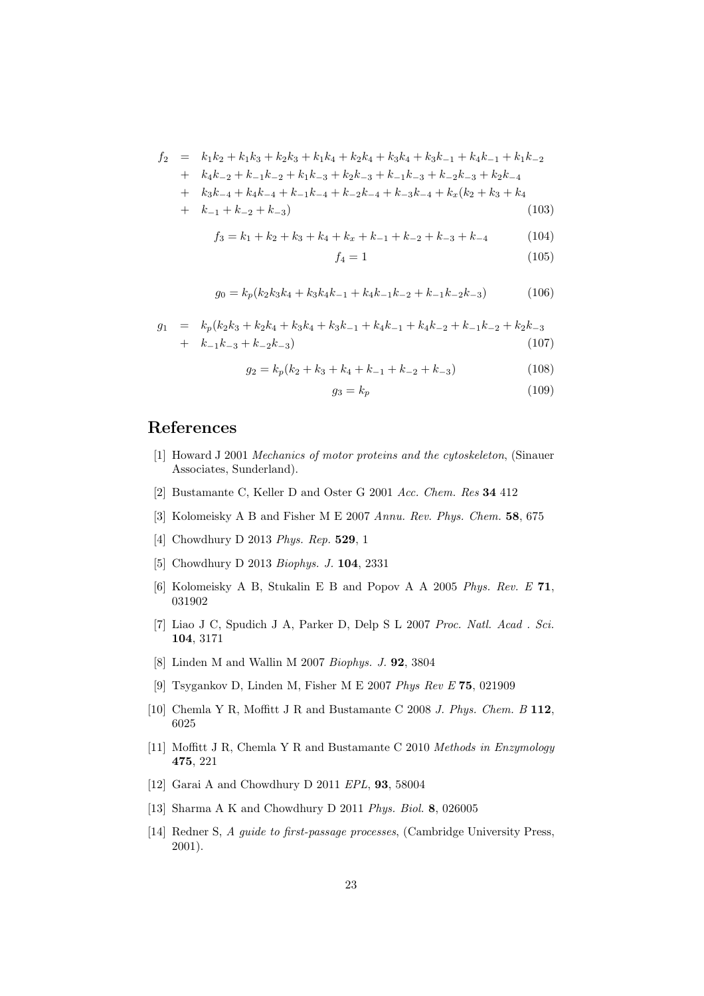$$
f_2 = k_1k_2 + k_1k_3 + k_2k_3 + k_1k_4 + k_2k_4 + k_3k_4 + k_3k_{-1} + k_4k_{-1} + k_1k_{-2} + k_4k_{-2} + k_{-1}k_{-2} + k_1k_{-3} + k_2k_{-3} + k_{-1}k_{-3} + k_2k_{-3} + k_2k_{-4} + k_3k_{-4} + k_4k_{-4} + k_{-1}k_{-4} + k_{-2}k_{-4} + k_{-3}k_{-4} + k_x(k_2 + k_3 + k_4 + k_{-1} + k_{-2} + k_{-3})
$$
\n(103)

$$
f_3 = k_1 + k_2 + k_3 + k_4 + k_x + k_{-1} + k_{-2} + k_{-3} + k_{-4}
$$
 (104)

$$
f_4 = 1\tag{105}
$$

$$
g_0 = k_p(k_2k_3k_4 + k_3k_4k_{-1} + k_4k_{-1}k_{-2} + k_{-1}k_{-2}k_{-3})
$$
 (106)

$$
g_1 = k_p(k_2k_3 + k_2k_4 + k_3k_4 + k_3k_{-1} + k_4k_{-1} + k_4k_{-2} + k_{-1}k_{-2} + k_2k_{-3} + k_{-1}k_{-3} + k_{-2}k_{-3})
$$
\n
$$
(107)
$$

$$
g_2 = k_p(k_2 + k_3 + k_4 + k_{-1} + k_{-2} + k_{-3})
$$
\n(108)

$$
g_3 = k_p \tag{109}
$$

## <span id="page-22-0"></span>References

- [1] Howard J 2001 Mechanics of motor proteins and the cytoskeleton, (Sinauer Associates, Sunderland).
- <span id="page-22-2"></span><span id="page-22-1"></span>[2] Bustamante C, Keller D and Oster G 2001 Acc. Chem. Res 34 412
- <span id="page-22-3"></span>[3] Kolomeisky A B and Fisher M E 2007 Annu. Rev. Phys. Chem. 58, 675
- <span id="page-22-4"></span>[4] Chowdhury D 2013 Phys. Rep. 529, 1
- <span id="page-22-5"></span>[5] Chowdhury D 2013 Biophys. J. 104, 2331
- <span id="page-22-6"></span>[6] Kolomeisky A B, Stukalin E B and Popov A A 2005 Phys. Rev. E 71, 031902
- [7] Liao J C, Spudich J A, Parker D, Delp S L 2007 Proc. Natl. Acad . Sci. 104, 3171
- <span id="page-22-8"></span><span id="page-22-7"></span>[8] Linden M and Wallin M 2007 Biophys. J. 92, 3804
- <span id="page-22-9"></span>[9] Tsygankov D, Linden M, Fisher M E 2007 Phys Rev E 75, 021909
- [10] Chemla Y R, Moffitt J R and Bustamante C 2008 J. Phys. Chem. B 112, 6025
- <span id="page-22-10"></span>[11] Moffitt J R, Chemla Y R and Bustamante C 2010 Methods in Enzymology 475, 221
- <span id="page-22-13"></span><span id="page-22-11"></span>[12] Garai A and Chowdhury D 2011 EPL, **93**, 58004
- <span id="page-22-12"></span>[13] Sharma A K and Chowdhury D 2011 Phys. Biol. 8, 026005
- [14] Redner S, A guide to first-passage processes, (Cambridge University Press, 2001).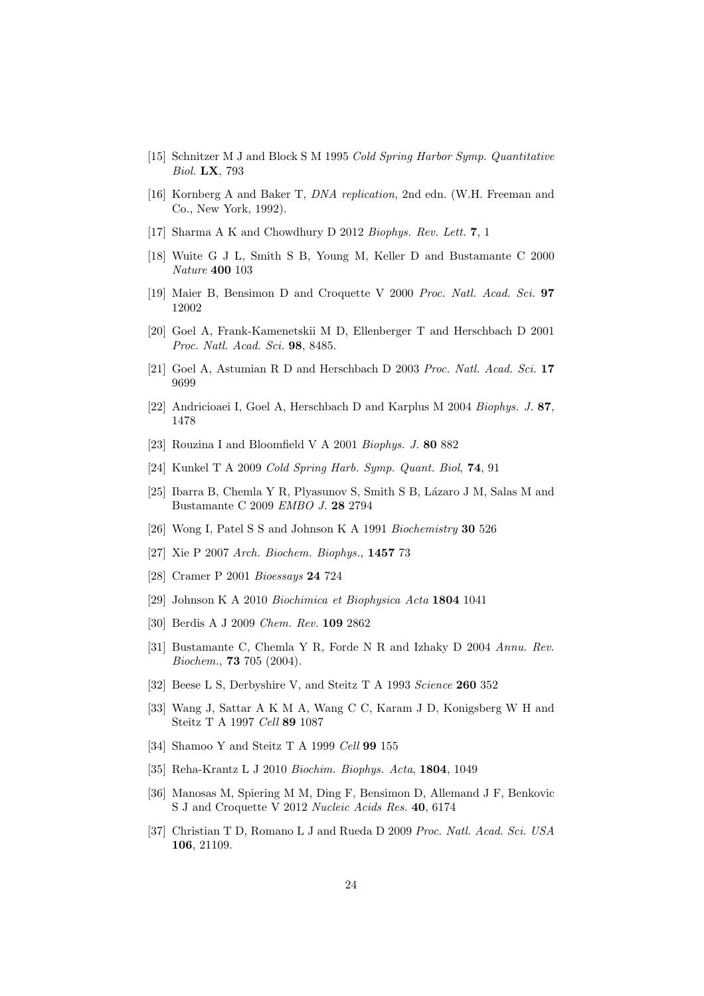- <span id="page-23-1"></span><span id="page-23-0"></span>[15] Schnitzer M J and Block S M 1995 Cold Spring Harbor Symp. Quantitative Biol. LX, 793
- [16] Kornberg A and Baker T, DNA replication, 2nd edn. (W.H. Freeman and Co., New York, 1992).
- <span id="page-23-3"></span><span id="page-23-2"></span>[17] Sharma A K and Chowdhury D 2012 Biophys. Rev. Lett. 7, 1
- <span id="page-23-4"></span>[18] Wuite G J L, Smith S B, Young M, Keller D and Bustamante C 2000 Nature 400 103
- <span id="page-23-5"></span>[19] Maier B, Bensimon D and Croquette V 2000 Proc. Natl. Acad. Sci. 97 12002
- [20] Goel A, Frank-Kamenetskii M D, Ellenberger T and Herschbach D 2001 Proc. Natl. Acad. Sci. 98, 8485.
- <span id="page-23-7"></span><span id="page-23-6"></span>[21] Goel A, Astumian R D and Herschbach D 2003 Proc. Natl. Acad. Sci. 17 9699
- <span id="page-23-8"></span>[22] Andricioaei I, Goel A, Herschbach D and Karplus M 2004 Biophys. J. 87, 1478
- <span id="page-23-9"></span>[23] Rouzina I and Bloomfield V A 2001 Biophys. J. 80 882
- <span id="page-23-10"></span>[24] Kunkel T A 2009 Cold Spring Harb. Symp. Quant. Biol, 74, 91
- <span id="page-23-11"></span>[25] Ibarra B, Chemla Y R, Plyasunov S, Smith S B, Lázaro J M, Salas M and Bustamante C 2009 EMBO J. 28 2794
- <span id="page-23-12"></span>[26] Wong I, Patel S S and Johnson K A 1991 Biochemistry 30 526
- <span id="page-23-13"></span>[27] Xie P 2007 Arch. Biochem. Biophys., 1457 73
- <span id="page-23-14"></span>[28] Cramer P 2001 Bioessays 24 724
- <span id="page-23-15"></span>[29] Johnson K A 2010 Biochimica et Biophysica Acta 1804 1041
- <span id="page-23-16"></span>[30] Berdis A J 2009 Chem. Rev. 109 2862
- [31] Bustamante C, Chemla Y R, Forde N R and Izhaky D 2004 Annu. Rev. Biochem., 73 705 (2004).
- <span id="page-23-18"></span><span id="page-23-17"></span>[32] Beese L S, Derbyshire V, and Steitz T A 1993 Science 260 352
- <span id="page-23-19"></span>[33] Wang J, Sattar A K M A, Wang C C, Karam J D, Konigsberg W H and Steitz T A 1997 Cell 89 1087
- <span id="page-23-21"></span>[34] Shamoo Y and Steitz T A 1999 Cell **99** 155
- <span id="page-23-22"></span>[35] Reha-Krantz L J 2010 Biochim. Biophys. Acta, 1804, 1049
- [36] Manosas M, Spiering M M, Ding F, Bensimon D, Allemand J F, Benkovic S J and Croquette V 2012 Nucleic Acids Res. 40, 6174
- <span id="page-23-20"></span>[37] Christian T D, Romano L J and Rueda D 2009 Proc. Natl. Acad. Sci. USA 106, 21109.